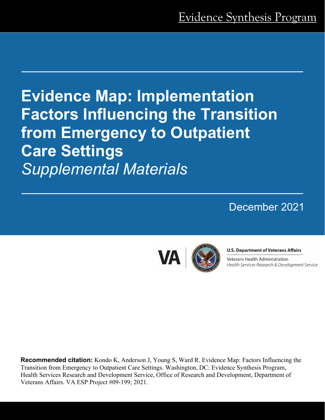# **Evidence Map: Implementation Factors Influencing the Transition from Emergency to Outpatient Care Settings** *Supplemental Materials*

# December 2021



### **U.S. Department of Veterans Affairs**

Veterans Health Administration Health Services Research & Development Service

**Recommended citation:** Kondo K, Anderson J, Young S, Ward R. Evidence Map: Factors Influencing the Transition from Emergency to Outpatient Care Settings. Washington, DC: Evidence Synthesis Program, Health Services Research and Development Service, Office of Research and Development, Department of Veterans Affairs. VA ESP Project #09-199; 2021.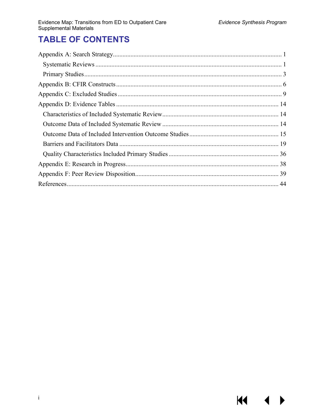$\blacklozenge$ 

▶

KI I

# **TABLE OF CONTENTS**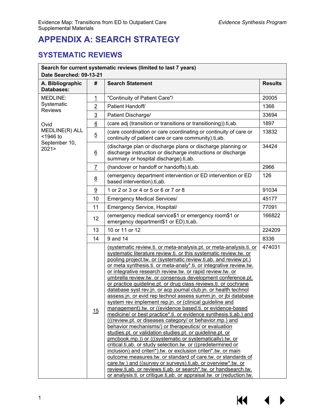# <span id="page-2-0"></span>**APPENDIX A: SEARCH STRATEGY**

## <span id="page-2-1"></span>**SYSTEMATIC REVIEWS**

| Search for current systematic reviews (limited to last 7 years)<br>Date Searched: 09-13-21 |                 |                                                                                                                                                                                                                                                                                                                                                                                                                                                                                                                                                                                                                                                                                                                                                                                                                                                                                                                                                                                                                                                                                                                                                                                                                                                                                                                                                                                                                                                                                        |        |
|--------------------------------------------------------------------------------------------|-----------------|----------------------------------------------------------------------------------------------------------------------------------------------------------------------------------------------------------------------------------------------------------------------------------------------------------------------------------------------------------------------------------------------------------------------------------------------------------------------------------------------------------------------------------------------------------------------------------------------------------------------------------------------------------------------------------------------------------------------------------------------------------------------------------------------------------------------------------------------------------------------------------------------------------------------------------------------------------------------------------------------------------------------------------------------------------------------------------------------------------------------------------------------------------------------------------------------------------------------------------------------------------------------------------------------------------------------------------------------------------------------------------------------------------------------------------------------------------------------------------------|--------|
| A. Bibliographic<br>#<br><b>Databases:</b>                                                 |                 | <b>Search Statement</b>                                                                                                                                                                                                                                                                                                                                                                                                                                                                                                                                                                                                                                                                                                                                                                                                                                                                                                                                                                                                                                                                                                                                                                                                                                                                                                                                                                                                                                                                |        |
| MEDLINE:                                                                                   | <u> 1</u>       | "Continuity of Patient Care"/                                                                                                                                                                                                                                                                                                                                                                                                                                                                                                                                                                                                                                                                                                                                                                                                                                                                                                                                                                                                                                                                                                                                                                                                                                                                                                                                                                                                                                                          | 20005  |
| Systematic                                                                                 | $\overline{2}$  | Patient Handoff/                                                                                                                                                                                                                                                                                                                                                                                                                                                                                                                                                                                                                                                                                                                                                                                                                                                                                                                                                                                                                                                                                                                                                                                                                                                                                                                                                                                                                                                                       | 1366   |
| <b>Reviews</b>                                                                             | $\overline{3}$  | Patient Discharge/                                                                                                                                                                                                                                                                                                                                                                                                                                                                                                                                                                                                                                                                                                                                                                                                                                                                                                                                                                                                                                                                                                                                                                                                                                                                                                                                                                                                                                                                     | 33694  |
| Ovid                                                                                       | $\overline{4}$  | (care adj (transition or transitions or transitioning)).ti, ab.                                                                                                                                                                                                                                                                                                                                                                                                                                                                                                                                                                                                                                                                                                                                                                                                                                                                                                                                                                                                                                                                                                                                                                                                                                                                                                                                                                                                                        | 1897   |
| MEDLINE(R) ALL<br><1946 to                                                                 | $\overline{5}$  | (care coordination or care coordinating or continuity of care or<br>continuity of patient care or care community).ti,ab.                                                                                                                                                                                                                                                                                                                                                                                                                                                                                                                                                                                                                                                                                                                                                                                                                                                                                                                                                                                                                                                                                                                                                                                                                                                                                                                                                               | 13832  |
| September 10,<br>2021                                                                      | $\underline{6}$ | (discharge plan or discharge plans or discharge planning or<br>discharge instruction or discharge instructions or discharge<br>summary or hospital discharge).ti,ab.                                                                                                                                                                                                                                                                                                                                                                                                                                                                                                                                                                                                                                                                                                                                                                                                                                                                                                                                                                                                                                                                                                                                                                                                                                                                                                                   | 34424  |
|                                                                                            | $\overline{1}$  | (handover or handoff or handoffs).ti,ab.                                                                                                                                                                                                                                                                                                                                                                                                                                                                                                                                                                                                                                                                                                                                                                                                                                                                                                                                                                                                                                                                                                                                                                                                                                                                                                                                                                                                                                               | 2966   |
|                                                                                            | $\underline{8}$ | (emergency department intervention or ED intervention or ED<br>based intervention).ti,ab.                                                                                                                                                                                                                                                                                                                                                                                                                                                                                                                                                                                                                                                                                                                                                                                                                                                                                                                                                                                                                                                                                                                                                                                                                                                                                                                                                                                              | 126    |
|                                                                                            | 9               | 1 or 2 or 3 or 4 or 5 or 6 or 7 or 8                                                                                                                                                                                                                                                                                                                                                                                                                                                                                                                                                                                                                                                                                                                                                                                                                                                                                                                                                                                                                                                                                                                                                                                                                                                                                                                                                                                                                                                   | 91034  |
|                                                                                            | 10              | <b>Emergency Medical Services/</b>                                                                                                                                                                                                                                                                                                                                                                                                                                                                                                                                                                                                                                                                                                                                                                                                                                                                                                                                                                                                                                                                                                                                                                                                                                                                                                                                                                                                                                                     | 45177  |
|                                                                                            | 11              | Emergency Service, Hospital/                                                                                                                                                                                                                                                                                                                                                                                                                                                                                                                                                                                                                                                                                                                                                                                                                                                                                                                                                                                                                                                                                                                                                                                                                                                                                                                                                                                                                                                           | 77091  |
|                                                                                            | 12              | (emergency medical service\$1 or emergency room\$1 or<br>emergency department\$1 or ED).ti,ab.                                                                                                                                                                                                                                                                                                                                                                                                                                                                                                                                                                                                                                                                                                                                                                                                                                                                                                                                                                                                                                                                                                                                                                                                                                                                                                                                                                                         | 166822 |
|                                                                                            | 13              | 10 or 11 or 12                                                                                                                                                                                                                                                                                                                                                                                                                                                                                                                                                                                                                                                                                                                                                                                                                                                                                                                                                                                                                                                                                                                                                                                                                                                                                                                                                                                                                                                                         | 224209 |
|                                                                                            | 14              | 9 and 14                                                                                                                                                                                                                                                                                                                                                                                                                                                                                                                                                                                                                                                                                                                                                                                                                                                                                                                                                                                                                                                                                                                                                                                                                                                                                                                                                                                                                                                                               | 8336   |
|                                                                                            | 15              | (systematic review.ti. or meta-analysis.pt. or meta-analysis.ti. or<br>systematic literature review.ti. or this systematic review.tw. or<br>pooling project.tw. or (systematic review.ti, ab. and review.pt.)<br>or meta synthesis.ti. or meta-analy*.ti. or integrative review.tw.<br>or integrative research review.tw. or rapid review.tw. or<br>umbrella review.tw. or consensus development conference.pt.<br>or practice guideline.pt. or drug class reviews.ti. or cochrane<br>database syst rev.jn. or acp journal club.jn. or health technol<br>assess.jn. or evid rep technol assess summ.jn. or jbi database<br>system rev implement rep.jn. or (clinical guideline and<br>management).tw. or ((evidence based.ti. or evidence-based<br>medicine/ or best practice*.ti. or evidence synthesis.ti,ab.) and<br>(((review.pt. or diseases category/ or behavior.mp.) and<br>behavior mechanisms/) or therapeutics/ or evaluation<br>studies.pt. or validation studies.pt. or guideline.pt. or<br>pmcbook.mp.)) or (((systematic or systematically).tw. or<br>critical.ti, ab. or study selection.tw. or ((predetermined or<br>inclusion) and criteri*).tw. or exclusion criteri*.tw. or main<br>outcome measures.tw. or standard of care.tw. or standards of<br>care.tw.) and ((survey or surveys).ti, ab. or overview*.tw. or<br>review.ti, ab. or reviews.ti, ab. or search*.tw. or handsearch.tw.<br>or analysis.ti. or critique.ti, ab. or appraisal.tw. or (reduction.tw. | 474031 |

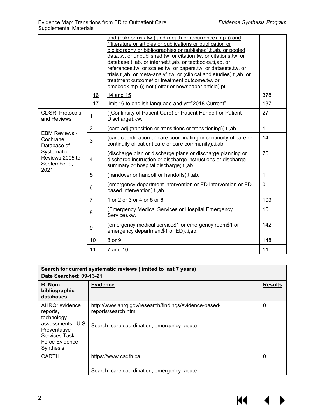|                                                       |                         | and (risk/ or risk.tw.) and (death or recurrence).mp.)) and<br>((literature or articles or publications or publication or<br>bibliography or bibliographies or published).ti, ab. or pooled<br>data.tw. or unpublished.tw. or citation.tw. or citations.tw. or<br>database.ti,ab. or internet.ti,ab. or textbooks.ti,ab. or<br>references.tw. or scales.tw. or papers.tw. or datasets.tw. or<br>trials.ti,ab. or meta-analy*.tw. or (clinical and studies).ti,ab. or<br>treatment outcome/ or treatment outcome.tw. or<br>pmcbook.mp.))) not (letter or newspaper article).pt. |              |
|-------------------------------------------------------|-------------------------|--------------------------------------------------------------------------------------------------------------------------------------------------------------------------------------------------------------------------------------------------------------------------------------------------------------------------------------------------------------------------------------------------------------------------------------------------------------------------------------------------------------------------------------------------------------------------------|--------------|
|                                                       | 16                      | 14 and 15                                                                                                                                                                                                                                                                                                                                                                                                                                                                                                                                                                      | 378          |
|                                                       | 17                      | limit 16 to english language and yr="2018-Current"                                                                                                                                                                                                                                                                                                                                                                                                                                                                                                                             | 137          |
| <b>CDSR: Protocols</b><br>and Reviews                 | 1                       | ((Continuity of Patient Care) or Patient Handoff or Patient<br>Discharge).kw.                                                                                                                                                                                                                                                                                                                                                                                                                                                                                                  | 27           |
|                                                       | $\overline{2}$          | (care adj (transition or transitions or transitioning)).ti,ab.                                                                                                                                                                                                                                                                                                                                                                                                                                                                                                                 | $\mathbf{1}$ |
| <b>EBM Reviews -</b><br>Cochrane<br>Database of       | 3                       | (care coordination or care coordinating or continuity of care or<br>continuity of patient care or care community).ti,ab.                                                                                                                                                                                                                                                                                                                                                                                                                                                       | 14           |
| Systematic<br>Reviews 2005 to<br>September 9,<br>2021 | $\overline{\mathbf{4}}$ | (discharge plan or discharge plans or discharge planning or<br>discharge instruction or discharge instructions or discharge<br>summary or hospital discharge).ti,ab.                                                                                                                                                                                                                                                                                                                                                                                                           | 76           |
|                                                       | 5                       | (handover or handoff or handoffs).ti,ab.                                                                                                                                                                                                                                                                                                                                                                                                                                                                                                                                       | 1            |
|                                                       | 6                       | (emergency department intervention or ED intervention or ED<br>based intervention).ti,ab.                                                                                                                                                                                                                                                                                                                                                                                                                                                                                      | $\mathbf 0$  |
|                                                       | $\overline{7}$          | 1 or 2 or 3 or 4 or 5 or 6                                                                                                                                                                                                                                                                                                                                                                                                                                                                                                                                                     | 103          |
|                                                       | 8                       | (Emergency Medical Services or Hospital Emergency<br>Service).kw.                                                                                                                                                                                                                                                                                                                                                                                                                                                                                                              | 10           |
|                                                       | $\boldsymbol{9}$        | (emergency medical service\$1 or emergency room\$1 or<br>emergency department\$1 or ED).ti,ab.                                                                                                                                                                                                                                                                                                                                                                                                                                                                                 | 142          |
|                                                       | 10                      | 8 or 9                                                                                                                                                                                                                                                                                                                                                                                                                                                                                                                                                                         | 148          |
|                                                       | 11                      | 7 and 10                                                                                                                                                                                                                                                                                                                                                                                                                                                                                                                                                                       | 11           |
|                                                       |                         |                                                                                                                                                                                                                                                                                                                                                                                                                                                                                                                                                                                |              |

| Search for current systematic reviews (limited to last 7 years)<br>Date Searched: 09-13-21                                    |                                                                                                                             |                |  |
|-------------------------------------------------------------------------------------------------------------------------------|-----------------------------------------------------------------------------------------------------------------------------|----------------|--|
| B. Non-<br>bibliographic<br>databases                                                                                         | <b>Evidence</b>                                                                                                             | <b>Results</b> |  |
| AHRQ: evidence<br>reports,<br>technology<br>assessments, U.S.<br>Preventative<br>Services Task<br>Force Evidence<br>Synthesis | http://www.ahrg.gov/research/findings/evidence-based-<br>reports/search.html<br>Search: care coordination; emergency; acute | 0              |  |
| <b>CADTH</b>                                                                                                                  | https://www.cadth.ca                                                                                                        | 0              |  |
|                                                                                                                               | Search: care coordination; emergency; acute                                                                                 |                |  |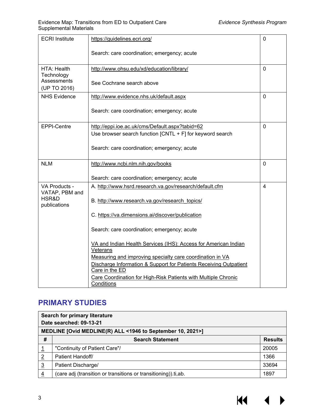| <b>ECRI</b> Institute                    | https://guidelines.ecri.org/                                                     | $\mathbf 0$    |
|------------------------------------------|----------------------------------------------------------------------------------|----------------|
|                                          | Search: care coordination; emergency; acute                                      |                |
| HTA: Health<br>Technology<br>Assessments | http://www.ohsu.edu/xd/education/library/                                        | $\mathbf 0$    |
| (UP TO 2016)                             | See Cochrane search above                                                        |                |
| <b>NHS Evidence</b>                      | http://www.evidence.nhs.uk/default.aspx                                          | $\mathbf 0$    |
|                                          | Search: care coordination; emergency; acute                                      |                |
| EPPI-Centre                              | http://eppi.ioe.ac.uk/cms/Default.aspx?tabid=62                                  | 0              |
|                                          | Use browser search function $[CNTL + F]$ for keyword search                      |                |
|                                          | Search: care coordination; emergency; acute                                      |                |
| <b>NLM</b>                               | http://www.ncbi.nlm.nih.gov/books                                                | $\mathbf 0$    |
|                                          | Search: care coordination; emergency; acute                                      |                |
| VA Products -<br>VATAP, PBM and          | A. http://www.hsrd.research.va.gov/research/default.cfm                          | $\overline{4}$ |
| HSR&D<br>publications                    | B. http://www.research.va.gov/research_topics/                                   |                |
|                                          | C. https://va.dimensions.ai/discover/publication                                 |                |
|                                          | Search: care coordination; emergency; acute                                      |                |
|                                          | VA and Indian Health Services (IHS): Access for American Indian<br>Veterans      |                |
|                                          | Measuring and improving specialty care coordination in VA                        |                |
|                                          | Discharge Information & Support for Patients Receiving Outpatient                |                |
|                                          | Care in the ED<br>Care Coordination for High-Risk Patients with Multiple Chronic |                |
|                                          | Conditions                                                                       |                |

## <span id="page-4-0"></span>**PRIMARY STUDIES**

| Search for primary literature<br>Date searched: 09-13-21   |                                                                |                |  |
|------------------------------------------------------------|----------------------------------------------------------------|----------------|--|
| MEDLINE [Ovid MEDLINE(R) ALL <1946 to September 10, 2021>] |                                                                |                |  |
| #                                                          | <b>Search Statement</b>                                        | <b>Results</b> |  |
|                                                            | "Continuity of Patient Care"/                                  | 20005          |  |
| $\overline{2}$                                             | Patient Handoff/                                               | 1366           |  |
| $\overline{3}$                                             | Patient Discharge/                                             | 33694          |  |
| 4                                                          | (care adj (transition or transitions or transitioning)).ti,ab. | 1897           |  |

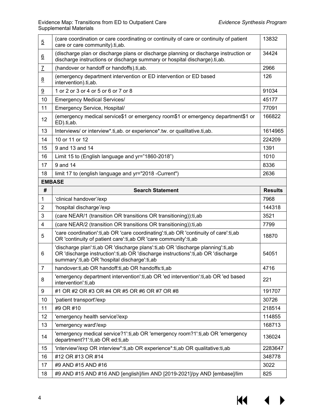| $\overline{5}$  | (care coordination or care coordinating or continuity of care or continuity of patient<br>care or care community).ti,ab.                                                                                            | 13832          |
|-----------------|---------------------------------------------------------------------------------------------------------------------------------------------------------------------------------------------------------------------|----------------|
| $6\overline{6}$ | (discharge plan or discharge plans or discharge planning or discharge instruction or<br>discharge instructions or discharge summary or hospital discharge).ti,ab.                                                   | 34424          |
| $\overline{1}$  | (handover or handoff or handoffs).ti,ab.                                                                                                                                                                            | 2966           |
| 8               | (emergency department intervention or ED intervention or ED based<br>intervention).ti,ab.                                                                                                                           | 126            |
| 9               | 1 or 2 or 3 or 4 or 5 or 6 or 7 or 8                                                                                                                                                                                | 91034          |
| 10              | <b>Emergency Medical Services/</b>                                                                                                                                                                                  | 45177          |
| 11              | Emergency Service, Hospital/                                                                                                                                                                                        | 77091          |
| 12              | (emergency medical service\$1 or emergency room\$1 or emergency department\$1 or<br>ED).ti,ab.                                                                                                                      | 166822         |
| 13              | Interviews/ or interview*.ti,ab. or experience*.tw. or qualitative.ti,ab.                                                                                                                                           | 1614965        |
| 14              | 10 or 11 or 12                                                                                                                                                                                                      | 224209         |
| 15              | 9 and 13 and 14                                                                                                                                                                                                     | 1391           |
| 16              | Limit 15 to (English language and yr="1860-2018")                                                                                                                                                                   | 1010           |
| 17              | 9 and 14                                                                                                                                                                                                            | 8336           |
| 18              | limit 17 to (english language and yr="2018 -Current")                                                                                                                                                               | 2636           |
|                 | <b>EMBASE</b>                                                                                                                                                                                                       |                |
| #               | <b>Search Statement</b>                                                                                                                                                                                             | <b>Results</b> |
| 1               | 'clinical handover'/exp                                                                                                                                                                                             | 7968           |
| $\overline{2}$  | 'hospital discharge'/exp                                                                                                                                                                                            | 144318         |
| 3               | (care NEAR/1 (transition OR transitions OR transitioning)): ti, ab                                                                                                                                                  | 3521           |
| $\overline{4}$  | (care NEAR/2 (transition OR transitions OR transitioning)): ti, ab                                                                                                                                                  | 7799           |
| 5               | 'care coordination':ti,ab OR 'care coordinating':ti,ab OR 'continuity of care':ti,ab<br>OR 'continuity of patient care':ti, ab OR 'care community':ti, ab                                                           | 18870          |
| 6               | 'discharge plan':ti,ab OR 'discharge plans':ti,ab OR 'discharge planning':ti,ab<br>OR 'discharge instruction':ti,ab OR 'discharge instructions':ti,ab OR 'discharge<br>summary':ti,ab OR 'hospital discharge':ti,ab | 54051          |
| $\overline{7}$  | handover:ti,ab OR handoff:ti,ab OR handoffs:ti,ab                                                                                                                                                                   | 4716           |
| 8               | 'emergency department intervention':ti, ab OR 'ed intervention':ti, ab OR 'ed based<br>intervention':ti,ab                                                                                                          | 221            |
| 9               | #1 OR #2 OR #3 OR #4 OR #5 OR #6 OR #7 OR #8                                                                                                                                                                        | 191707         |
| 10              | 'patient transport'/exp                                                                                                                                                                                             | 30726          |
| 11              | #9 OR #10                                                                                                                                                                                                           | 218514         |
| 12              | 'emergency health service'/exp                                                                                                                                                                                      | 114855         |
| 13              | 'emergency ward'/exp                                                                                                                                                                                                | 168713         |
| 14              | 'emergency medical service?1':ti,ab OR 'emergency room?1':ti,ab OR 'emergency<br>department?1':ti,ab OR ed:ti,ab                                                                                                    | 136024         |
| 15              | 'interview'/exp OR interview*:ti,ab OR experience*:ti,ab OR qualitative:ti,ab                                                                                                                                       | 2283647        |
| 16              | #12 OR #13 OR #14                                                                                                                                                                                                   | 348778         |
| 17              | #9 AND #15 AND #16                                                                                                                                                                                                  | 3022           |
| 18              | #9 AND #15 AND #16 AND [english]/lim AND [2019-2021]/py AND [embase]/lim                                                                                                                                            | 825            |

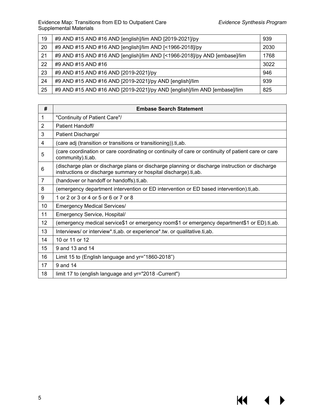$M \cdot 1$ 

 $\blacktriangleright$ 

| 19 | #9 AND #15 AND #16 AND [english]/lim AND [2019-2021]/py                   | 939  |
|----|---------------------------------------------------------------------------|------|
| 20 | #9 AND #15 AND #16 AND [english]/lim AND [<1966-2018]/py                  | 2030 |
| 21 | #9 AND #15 AND #16 AND [english]/lim AND [<1966-2018]/py AND [embase]/lim | 1768 |
| 22 | #9 AND #15 AND #16                                                        | 3022 |
| 23 | #9 AND #15 AND #16 AND [2019-2021]/py                                     | 946  |
| 24 | #9 AND #15 AND #16 AND [2019-2021]/py AND [english]/lim                   | 939  |
| 25 | #9 AND #15 AND #16 AND [2019-2021]/py AND [english]/lim AND [embase]/lim  | 825  |

| #              | <b>Embase Search Statement</b>                                                                                                                                    |  |
|----------------|-------------------------------------------------------------------------------------------------------------------------------------------------------------------|--|
| 1              | "Continuity of Patient Care"/                                                                                                                                     |  |
| $\overline{2}$ | Patient Handoff/                                                                                                                                                  |  |
| 3              | Patient Discharge/                                                                                                                                                |  |
| 4              | (care adj (transition or transitions or transitioning)).ti,ab.                                                                                                    |  |
| 5              | (care coordination or care coordinating or continuity of care or continuity of patient care or care<br>community).ti,ab.                                          |  |
| 6              | (discharge plan or discharge plans or discharge planning or discharge instruction or discharge<br>instructions or discharge summary or hospital discharge).ti,ab. |  |
| $\overline{7}$ | (handover or handoff or handoffs).ti,ab.                                                                                                                          |  |
| 8              | (emergency department intervention or ED intervention or ED based intervention).ti,ab.                                                                            |  |
| 9              | 1 or 2 or 3 or 4 or 5 or 6 or 7 or 8                                                                                                                              |  |
| 10             | <b>Emergency Medical Services/</b>                                                                                                                                |  |
| 11             | Emergency Service, Hospital/                                                                                                                                      |  |
| 12             | (emergency medical service\$1 or emergency room\$1 or emergency department\$1 or ED).ti,ab.                                                                       |  |
| 13             | Interviews/ or interview*.ti,ab. or experience*.tw. or qualitative.ti,ab.                                                                                         |  |
| 14             | 10 or 11 or 12                                                                                                                                                    |  |
| 15             | 9 and 13 and 14                                                                                                                                                   |  |
| 16             | Limit 15 to (English language and yr="1860-2018")                                                                                                                 |  |
| 17             | 9 and 14                                                                                                                                                          |  |
| 18             | limit 17 to (english language and yr="2018 -Current")                                                                                                             |  |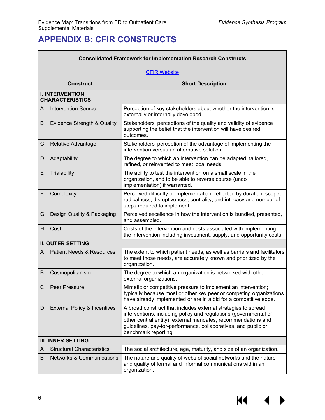$\blacksquare$ 

÷,

# <span id="page-7-0"></span>**APPENDIX B: CFIR CONSTRUCTS**

|   | <b>Consolidated Framework for Implementation Research Constructs</b> |                                                                                                                                                                                                                                                                                              |  |
|---|----------------------------------------------------------------------|----------------------------------------------------------------------------------------------------------------------------------------------------------------------------------------------------------------------------------------------------------------------------------------------|--|
|   | <b>CFIR Website</b>                                                  |                                                                                                                                                                                                                                                                                              |  |
|   | <b>Construct</b>                                                     | <b>Short Description</b>                                                                                                                                                                                                                                                                     |  |
|   | <b>I. INTERVENTION</b><br><b>CHARACTERISTICS</b>                     |                                                                                                                                                                                                                                                                                              |  |
| A | <b>Intervention Source</b>                                           | Perception of key stakeholders about whether the intervention is<br>externally or internally developed.                                                                                                                                                                                      |  |
| B | Evidence Strength & Quality                                          | Stakeholders' perceptions of the quality and validity of evidence<br>supporting the belief that the intervention will have desired<br>outcomes.                                                                                                                                              |  |
| C | Relative Advantage                                                   | Stakeholders' perception of the advantage of implementing the<br>intervention versus an alternative solution.                                                                                                                                                                                |  |
| D | Adaptability                                                         | The degree to which an intervention can be adapted, tailored,<br>refined, or reinvented to meet local needs.                                                                                                                                                                                 |  |
| E | Trialability                                                         | The ability to test the intervention on a small scale in the<br>organization, and to be able to reverse course (undo<br>implementation) if warranted.                                                                                                                                        |  |
| F | Complexity                                                           | Perceived difficulty of implementation, reflected by duration, scope,<br>radicalness, disruptiveness, centrality, and intricacy and number of<br>steps required to implement.                                                                                                                |  |
| G | Design Quality & Packaging                                           | Perceived excellence in how the intervention is bundled, presented,<br>and assembled.                                                                                                                                                                                                        |  |
| H | Cost                                                                 | Costs of the intervention and costs associated with implementing<br>the intervention including investment, supply, and opportunity costs.                                                                                                                                                    |  |
|   | <b>II. OUTER SETTING</b>                                             |                                                                                                                                                                                                                                                                                              |  |
| A | <b>Patient Needs &amp; Resources</b>                                 | The extent to which patient needs, as well as barriers and facilitators<br>to meet those needs, are accurately known and prioritized by the<br>organization.                                                                                                                                 |  |
| B | Cosmopolitanism                                                      | The degree to which an organization is networked with other<br>external organizations.                                                                                                                                                                                                       |  |
| C | Peer Pressure                                                        | Mimetic or competitive pressure to implement an intervention;<br>typically because most or other key peer or competing organizations<br>have already implemented or are in a bid for a competitive edge.                                                                                     |  |
| D | <b>External Policy &amp; Incentives</b>                              | A broad construct that includes external strategies to spread<br>interventions, including policy and regulations (governmental or<br>other central entity), external mandates, recommendations and<br>guidelines, pay-for-performance, collaboratives, and public or<br>benchmark reporting. |  |
|   | <b>III. INNER SETTING</b>                                            |                                                                                                                                                                                                                                                                                              |  |
| A | <b>Structural Characteristics</b>                                    | The social architecture, age, maturity, and size of an organization.                                                                                                                                                                                                                         |  |
| B | <b>Networks &amp; Communications</b>                                 | The nature and quality of webs of social networks and the nature<br>and quality of formal and informal communications within an<br>organization.                                                                                                                                             |  |

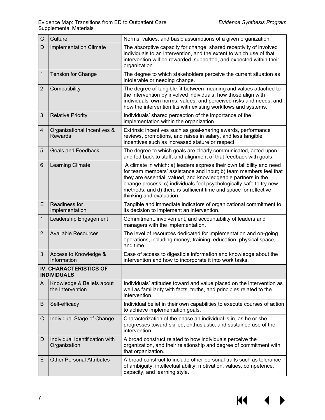| $\mathsf{C}$    | Culture                                             | Norms, values, and basic assumptions of a given organization.                                                                                                                                                                                                                                                                                                                       |
|-----------------|-----------------------------------------------------|-------------------------------------------------------------------------------------------------------------------------------------------------------------------------------------------------------------------------------------------------------------------------------------------------------------------------------------------------------------------------------------|
| D               | <b>Implementation Climate</b>                       | The absorptive capacity for change, shared receptivity of involved<br>individuals to an intervention, and the extent to which use of that<br>intervention will be rewarded, supported, and expected within their<br>organization.                                                                                                                                                   |
| $\mathbf{1}$    | <b>Tension for Change</b>                           | The degree to which stakeholders perceive the current situation as<br>intolerable or needing change.                                                                                                                                                                                                                                                                                |
| $\overline{2}$  | Compatibility                                       | The degree of tangible fit between meaning and values attached to<br>the intervention by involved individuals, how those align with<br>individuals' own norms, values, and perceived risks and needs, and<br>how the intervention fits with existing workflows and systems.                                                                                                         |
| 3               | <b>Relative Priority</b>                            | Individuals' shared perception of the importance of the<br>implementation within the organization.                                                                                                                                                                                                                                                                                  |
| $\overline{4}$  | Organizational Incentives &<br><b>Rewards</b>       | Extrinsic incentives such as goal-sharing awards, performance<br>reviews, promotions, and raises in salary, and less tangible<br>incentives such as increased stature or respect.                                                                                                                                                                                                   |
| 5               | <b>Goals and Feedback</b>                           | The degree to which goals are clearly communicated, acted upon,<br>and fed back to staff, and alignment of that feedback with goals.                                                                                                                                                                                                                                                |
| $6\phantom{1}6$ | Learning Climate                                    | A climate in which: a) leaders express their own fallibility and need<br>for team members' assistance and input; b) team members feel that<br>they are essential, valued, and knowledgeable partners in the<br>change process; c) individuals feel psychologically safe to try new<br>methods; and d) there is sufficient time and space for reflective<br>thinking and evaluation. |
| E               | Readiness for<br>Implementation                     | Tangible and immediate indicators of organizational commitment to<br>its decision to implement an intervention.                                                                                                                                                                                                                                                                     |
| $\overline{1}$  | Leadership Engagement                               | Commitment, involvement, and accountability of leaders and<br>managers with the implementation.                                                                                                                                                                                                                                                                                     |
| $\overline{2}$  | <b>Available Resources</b>                          | The level of resources dedicated for implementation and on-going<br>operations, including money, training, education, physical space,<br>and time.                                                                                                                                                                                                                                  |
| 3               | Access to Knowledge &<br>Information                | Ease of access to digestible information and knowledge about the<br>intervention and how to incorporate it into work tasks.                                                                                                                                                                                                                                                         |
|                 | <b>IV. CHARACTERISTICS OF</b><br><b>INDIVIDUALS</b> |                                                                                                                                                                                                                                                                                                                                                                                     |
| A               | Knowledge & Beliefs about<br>the Intervention       | Individuals' attitudes toward and value placed on the intervention as<br>well as familiarity with facts, truths, and principles related to the<br>intervention.                                                                                                                                                                                                                     |
| B               | Self-efficacy                                       | Individual belief in their own capabilities to execute courses of action<br>to achieve implementation goals.                                                                                                                                                                                                                                                                        |
| C               | Individual Stage of Change                          | Characterization of the phase an individual is in, as he or she<br>progresses toward skilled, enthusiastic, and sustained use of the<br>intervention.                                                                                                                                                                                                                               |
| D               | Individual Identification with<br>Organization      | A broad construct related to how individuals perceive the<br>organization, and their relationship and degree of commitment with<br>that organization.                                                                                                                                                                                                                               |
| Е               | <b>Other Personal Attributes</b>                    | A broad construct to include other personal traits such as tolerance<br>of ambiguity, intellectual ability, motivation, values, competence,<br>capacity, and learning style.                                                                                                                                                                                                        |

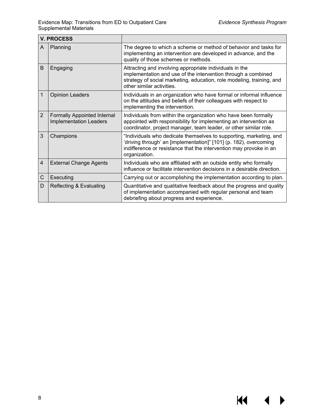$\blacklozenge$ 

▶

**KI** 

| <b>V. PROCESS</b> |                                                                     |                                                                                                                                                                                                                                |
|-------------------|---------------------------------------------------------------------|--------------------------------------------------------------------------------------------------------------------------------------------------------------------------------------------------------------------------------|
| A                 | Planning                                                            | The degree to which a scheme or method of behavior and tasks for<br>implementing an intervention are developed in advance, and the<br>quality of those schemes or methods.                                                     |
| B                 | Engaging                                                            | Attracting and involving appropriate individuals in the<br>implementation and use of the intervention through a combined<br>strategy of social marketing, education, role modeling, training, and<br>other similar activities. |
| $\mathbf 1$       | <b>Opinion Leaders</b>                                              | Individuals in an organization who have formal or informal influence<br>on the attitudes and beliefs of their colleagues with respect to<br>implementing the intervention.                                                     |
| $\overline{2}$    | <b>Formally Appointed Internal</b><br><b>Implementation Leaders</b> | Individuals from within the organization who have been formally<br>appointed with responsibility for implementing an intervention as<br>coordinator, project manager, team leader, or other similar role.                      |
| 3                 | Champions                                                           | "Individuals who dedicate themselves to supporting, marketing, and<br>'driving through' an [implementation]" [101] (p. 182), overcoming<br>indifference or resistance that the intervention may provoke in an<br>organization. |
| $\overline{4}$    | <b>External Change Agents</b>                                       | Individuals who are affiliated with an outside entity who formally<br>influence or facilitate intervention decisions in a desirable direction.                                                                                 |
| $\mathsf C$       | Executing                                                           | Carrying out or accomplishing the implementation according to plan.                                                                                                                                                            |
| D                 | Reflecting & Evaluating                                             | Quantitative and qualitative feedback about the progress and quality<br>of implementation accompanied with regular personal and team<br>debriefing about progress and experience.                                              |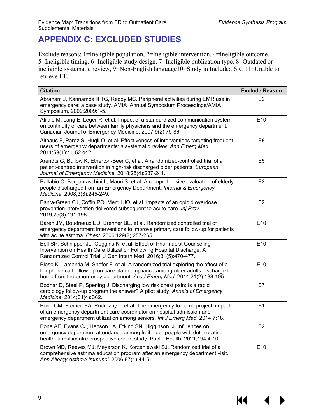KI

# <span id="page-10-0"></span>**APPENDIX C: EXCLUDED STUDIES**

Exclude reasons: 1=Ineligible population, 2=Ineligible intervention, 4=Ineligible outcome, 5=Ineligible timing, 6=Ineligible study design, 7=Ineligible publication type, 8=Outdated or ineligible systematic review, 9=Non-English language10=Study in Included SR, 11=Unable to retrieve FT.

| <b>Citation</b>                                                                                                                                                                                                                                 | <b>Exclude Reason</b> |
|-------------------------------------------------------------------------------------------------------------------------------------------------------------------------------------------------------------------------------------------------|-----------------------|
| Abraham J, Kannampallil TG, Reddy MC. Peripheral activities during EMR use in<br>emergency care: a case study. AMIA Annual Symposium Proceedings/AMIA<br>Symposium. 2009;2009:1-5.                                                              | E2                    |
| Afilalo M, Lang E, Léger R, et al. Impact of a standardized communication system<br>on continuity of care between family physicians and the emergency department.<br>Canadian Journal of Emergency Medicine. 2007;9(2):79-86.                   | E10                   |
| Althaus F, Paroz S, Hugli O, et al. Effectiveness of interventions targeting frequent<br>users of emergency departments: a systematic review. Ann Emerg Med.<br>2011;58(1):41-52.e42.                                                           | E <sub>8</sub>        |
| Arendts G, Bullow K, Etherton-Beer C, et al. A randomized-controlled trial of a<br>patient-centred intervention in high-risk discharged older patients. European<br>Journal of Emergency Medicine. 2018;25(4):237-241.                          | E <sub>5</sub>        |
| Ballabio C, Bergamaschini L, Mauri S, et al. A comprehensive evaluation of elderly<br>people discharged from an Emergency Department. Internal & Emergency<br>Medicine. 2008;3(3):245-249.                                                      | E2                    |
| Banta-Green CJ, Coffin PO, Merrill JO, et al. Impacts of an opioid overdose<br>prevention intervention delivered subsequent to acute care. Inj Prev.<br>2019;25(3):191-198.                                                                     | E2                    |
| Baren JM, Boudreaux ED, Brenner BE, et al. Randomized controlled trial of<br>emergency department interventions to improve primary care follow-up for patients<br>with acute asthma. Chest. 2006;129(2):257-265.                                | E10                   |
| Bell SP, Schnipper JL, Goggins K, et al. Effect of Pharmacist Counseling<br>Intervention on Health Care Utilization Following Hospital Discharge: A<br>Randomized Control Trial. J Gen Intern Med. 2016;31(5):470-477.                          | E10                   |
| Biese K, Lamantia M, Shofer F, et al. A randomized trial exploring the effect of a<br>telephone call follow-up on care plan compliance among older adults discharged<br>home from the emergency department. Acad Emerg Med. 2014;21(2):188-195. | E10                   |
| Bodnar D, Steel P, Sperling J. Discharging low risk chest pain: Is a rapid<br>cardiology follow-up program the answer? A pilot study. Annals of Emergency<br>Medicine. 2014;64(4):S62.                                                          | E7                    |
| Bond CM, Freiheit EA, Podruzny L, et al. The emergency to home project: impact<br>of an emergency department care coordinator on hospital admission and<br>emergency department utilization among seniors. Int J Emerg Med. 2014;7:18.          | E1                    |
| Bone AE, Evans CJ, Henson LA, Etkind SN, Higginson IJ. Influences on<br>emergency department attendance among frail older people with deteriorating<br>health: a multicentre prospective cohort study. Public Health. 2021;194:4-10.            | E2                    |
| Brown MD, Reeves MJ, Meyerson K, Korzeniewski SJ. Randomized trial of a<br>comprehensive asthma education program after an emergency department visit.<br>Ann Allergy Asthma Immunol. 2006;97(1):44-51.                                         | E10                   |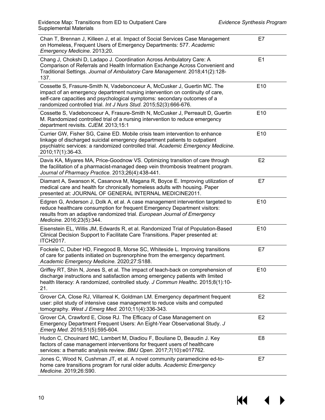$M \cdot 1$ 

 $\blacktriangleright$ 

| Chan T, Brennan J, Killeen J, et al. Impact of Social Services Case Management<br>on Homeless, Frequent Users of Emergency Departments: 577. Academic<br>Emergency Medicine. 2013;20.                                                                                                                      | E7              |
|------------------------------------------------------------------------------------------------------------------------------------------------------------------------------------------------------------------------------------------------------------------------------------------------------------|-----------------|
| Chang J, Chokshi D, Ladapo J. Coordination Across Ambulatory Care: A<br>Comparison of Referrals and Health Information Exchange Across Convenient and<br>Traditional Settings. Journal of Ambulatory Care Management. 2018;41(2):128-<br>137.                                                              | E <sub>1</sub>  |
| Cossette S, Frasure-Smith N, Vadeboncoeur A, McCusker J, Guertin MC. The<br>impact of an emergency department nursing intervention on continuity of care,<br>self-care capacities and psychological symptoms: secondary outcomes of a<br>randomized controlled trial. Int J Nurs Stud. 2015;52(3):666-676. | E10             |
| Cossette S, Vadeboncoeur A, Frasure-Smith N, McCusker J, Perreault D, Guertin<br>M. Randomized controlled trial of a nursing intervention to reduce emergency<br>department revisits. CJEM. 2013;15:1                                                                                                      | E10             |
| Currier GW, Fisher SG, Caine ED. Mobile crisis team intervention to enhance<br>linkage of discharged suicidal emergency department patients to outpatient<br>psychiatric services: a randomized controlled trial. Academic Emergency Medicine.<br>2010;17(1):36-43.                                        | E10             |
| Davis KA, Miyares MA, Price-Goodnow VS. Optimizing transition of care through<br>the facilitation of a pharmacist-managed deep vein thrombosis treatment program.<br>Journal of Pharmacy Practice. 2013;26(4):438-441.                                                                                     | E <sub>2</sub>  |
| Diamant A, Swanson K, Casanova M, Magana R, Boyce E. Improving utilization of<br>medical care and health for chronically homeless adults with housing. Paper<br>presented at: JOURNAL OF GENERAL INTERNAL MEDICINE2011.                                                                                    | E7              |
| Edgren G, Anderson J, Dolk A, et al. A case management intervention targeted to<br>reduce healthcare consumption for frequent Emergency Department visitors:<br>results from an adaptive randomized trial. European Journal of Emergency<br>Medicine. 2016;23(5):344.                                      | E10             |
| Eisenstein EL, Willis JM, Edwards R, et al. Randomized Trial of Population-Based<br>Clinical Decision Support to Facilitate Care Transitions. Paper presented at:<br><b>ITCH2017.</b>                                                                                                                      | E10             |
| Fockele C, Duber HD, Finegood B, Morse SC, Whiteside L. Improving transitions<br>of care for patients initiated on buprenorphine from the emergency department.<br>Academic Emergency Medicine. 2020;27:S188.                                                                                              | E7              |
| Griffey RT, Shin N, Jones S, et al. The impact of teach-back on comprehension of<br>discharge instructions and satisfaction among emergency patients with limited<br>health literacy: A randomized, controlled study. J Commun Healthc. 2015;8(1):10-<br>21.                                               | E <sub>10</sub> |
| Grover CA, Close RJ, Villarreal K, Goldman LM. Emergency department frequent<br>user: pilot study of intensive case management to reduce visits and computed<br>tomography. West J Emerg Med. 2010;11(4):336-343.                                                                                          | E <sub>2</sub>  |
| Grover CA, Crawford E, Close RJ. The Efficacy of Case Management on<br>Emergency Department Frequent Users: An Eight-Year Observational Study. J<br>Emerg Med. 2016;51(5):595-604.                                                                                                                         | E2              |
| Hudon C, Chouinard MC, Lambert M, Diadiou F, Bouliane D, Beaudin J. Key<br>factors of case management interventions for frequent users of healthcare<br>services: a thematic analysis review. BMJ Open. 2017;7(10):e017762.                                                                                | E <sub>8</sub>  |
| Jones C, Wood N, Cushman JT, et al. A novel community paramedicine ed-to-<br>home care transitions program for rural older adults. Academic Emergency<br>Medicine. 2019;26:S90.                                                                                                                            | E7              |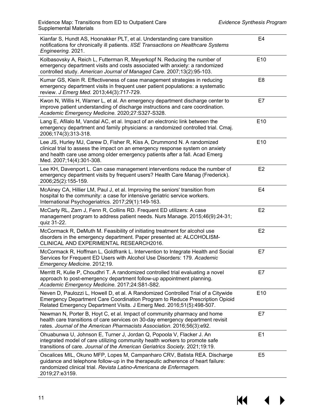| Kianfar S, Hundt AS, Hoonakker PLT, et al. Understanding care transition<br>notifications for chronically ill patients. IISE Transactions on Healthcare Systems<br>Engineering. 2021.                                                                               | E4              |
|---------------------------------------------------------------------------------------------------------------------------------------------------------------------------------------------------------------------------------------------------------------------|-----------------|
| Kolbasovsky A, Reich L, Futterman R, Meyerkopf N. Reducing the number of<br>emergency department visits and costs associated with anxiety: a randomized<br>controlled study. American Journal of Managed Care. 2007;13(2):95-103.                                   | E <sub>10</sub> |
| Kumar GS, Klein R. Effectiveness of case management strategies in reducing<br>emergency department visits in frequent user patient populations: a systematic<br>review. J Emerg Med. 2013;44(3):717-729.                                                            | E <sub>8</sub>  |
| Kwon N, Willis H, Warner L, et al. An emergency department discharge center to<br>improve patient understanding of discharge instructions and care coordination.<br>Academic Emergency Medicine. 2020;27:S327-S328.                                                 | E7              |
| Lang E, Afilalo M, Vandal AC, et al. Impact of an electronic link between the<br>emergency department and family physicians: a randomized controlled trial. Cmaj.<br>2006;174(3):313-318.                                                                           | E <sub>10</sub> |
| Lee JS, Hurley MJ, Carew D, Fisher R, Kiss A, Drummond N. A randomized<br>clinical trial to assess the impact on an emergency response system on anxiety<br>and health care use among older emergency patients after a fall. Acad Emerg<br>Med. 2007;14(4):301-308. | E <sub>10</sub> |
| Lee KH, Davenport L. Can case management interventions reduce the number of<br>emergency department visits by frequent users? Health Care Manag (Frederick).<br>2006;25(2):155-159.                                                                                 | E <sub>2</sub>  |
| McAiney CA, Hillier LM, Paul J, et al. Improving the seniors' transition from<br>hospital to the community: a case for intensive geriatric service workers.<br>International Psychogeriatrics. 2017;29(1):149-163.                                                  | E4              |
| McCarty RL, Zarn J, Fenn R, Collins RD. Frequent ED utilizers: A case<br>management program to address patient needs. Nurs Manage. 2015;46(9):24-31;<br>quiz 31-22.                                                                                                 | E <sub>2</sub>  |
| McCormack R, DeMuth M. Feasibility of initiating treatment for alcohol use<br>disorders in the emergency department. Paper presented at: ALCOHOLISM-<br>CLINICAL AND EXPERIMENTAL RESEARCH2016.                                                                     | E <sub>2</sub>  |
| McCormack R, Hoffman L, Goldfrank L. Intervention to Integrate Health and Social<br>Services for Frequent ED Users with Alcohol Use Disorders: 179. Academic<br>Emergency Medicine. 2012;19.                                                                        | E7              |
| Merritt R, Kulie P, Choudhri T. A randomized controlled trial evaluating a novel<br>approach to post-emergency department follow-up appointment planning.<br>Academic Emergency Medicine. 2017;24:S81-S82.                                                          | E (             |
| Neven D, Paulozzi L, Howell D, et al. A Randomized Controlled Trial of a Citywide<br>Emergency Department Care Coordination Program to Reduce Prescription Opioid<br>Related Emergency Department Visits. J Emerg Med. 2016;51(5):498-507.                          | E10             |
| Newman N, Porter B, Hoyt C, et al. Impact of community pharmacy and home<br>health care transitions of care services on 30-day emergency department revisit<br>rates. Journal of the American Pharmacists Association. 2016;56(3):e92.                              | E7              |
| Ohuabunwa U, Johnson E, Turner J, Jordan Q, Popoola V, Flacker J. An<br>integrated model of care utilizing community health workers to promote safe<br>transitions of care. Journal of the American Geriatrics Society. 2021;19:19.                                 | E1              |
| Oscalices MIL, Okuno MFP, Lopes M, Campanharo CRV, Batista REA. Discharge<br>guidance and telephone follow-up in the therapeutic adherence of heart failure:<br>randomized clinical trial. Revista Latino-Americana de Enfermagem.<br>2019;27:e3159.                | E <sub>5</sub>  |

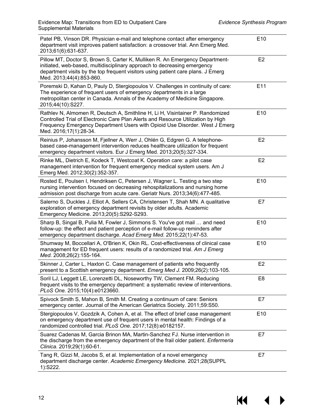| Patel PB, Vinson DR. Physician e-mail and telephone contact after emergency<br>department visit improves patient satisfaction: a crossover trial. Ann Emerg Med.<br>2013;61(6):631-637.                                                                                    | E10             |
|----------------------------------------------------------------------------------------------------------------------------------------------------------------------------------------------------------------------------------------------------------------------------|-----------------|
| Pillow MT, Doctor S, Brown S, Carter K, Mulliken R. An Emergency Department-<br>initiated, web-based, multidisciplinary approach to decreasing emergency<br>department visits by the top frequent visitors using patient care plans. J Emerg<br>Med. 2013;44(4):853-860.   | E <sub>2</sub>  |
| Poremski D, Kahan D, Pauly D, Stergiopoulos V. Challenges in continuity of care:<br>The experience of frequent users of emergency departments in a large<br>metropolitan center in Canada. Annals of the Academy of Medicine Singapore.<br>2015;44(10):S227.               | E11             |
| Rathlev N, Almomen R, Deutsch A, Smithline H, Li H, Visintainer P. Randomized<br>Controlled Trial of Electronic Care Plan Alerts and Resource Utilization by High<br>Frequency Emergency Department Users with Opioid Use Disorder. West J Emerg<br>Med. 2016;17(1):28-34. | E10             |
| Reinius P, Johansson M, Fjellner A, Werr J, Ohlén G, Edgren G. A telephone-<br>based case-management intervention reduces healthcare utilization for frequent<br>emergency department visitors. Eur J Emerg Med. 2013;20(5):327-334.                                       | E <sub>2</sub>  |
| Rinke ML, Dietrich E, Kodeck T, Westcoat K. Operation care: a pilot case<br>management intervention for frequent emergency medical system users. Am J<br>Emerg Med. 2012;30(2):352-357.                                                                                    | E <sub>2</sub>  |
| Rosted E, Poulsen I, Hendriksen C, Petersen J, Wagner L. Testing a two step<br>nursing intervention focused on decreasing rehospitalizations and nursing home<br>admission post discharge from acute care. Geriatr Nurs. 2013;34(6):477-485.                               | E10             |
| Salerno S, Duckles J, Elliot A, Sellers CA, Christensen T, Shah MN. A qualitative<br>exploration of emergency department revisits by older adults. Academic<br>Emergency Medicine. 2013;20(5):S292-S293.                                                                   | E7              |
| Sharp B, Singal B, Pulia M, Fowler J, Simmons S. You've got mail  and need<br>follow-up: the effect and patient perception of e-mail follow-up reminders after<br>emergency department discharge. Acad Emerg Med. 2015;22(1):47-53.                                        | E10             |
| Shumway M, Boccellari A, O'Brien K, Okin RL. Cost-effectiveness of clinical case<br>management for ED frequent users: results of a randomized trial. Am J Emerg<br>Med. 2008;26(2):155-164.                                                                                | E10             |
| Skinner J, Carter L, Haxton C. Case management of patients who frequently<br>present to a Scottish emergency department. Emerg Med J. 2009;26(2):103-105.                                                                                                                  | E <sub>2</sub>  |
| Soril LJ, Leggett LE, Lorenzetti DL, Noseworthy TW, Clement FM. Reducing<br>frequent visits to the emergency department: a systematic review of interventions.<br>PLoS One. 2015;10(4):e0123660.                                                                           | E <sub>8</sub>  |
| Spivock Smith S, Mahon B, Smith M. Creating a continuum of care: Seniors<br>emergency center. Journal of the American Geriatrics Society. 2011;59:S50.                                                                                                                     | E7              |
| Stergiopoulos V, Gozdzik A, Cohen A, et al. The effect of brief case management<br>on emergency department use of frequent users in mental health: Findings of a<br>randomized controlled trial. PLoS One. 2017;12(8):e0182157.                                            | E <sub>10</sub> |
| Suarez Cadenas M, Garcia Brinon MA, Martin-Sanchez FJ. Nurse intervention in<br>the discharge from the emergency department of the frail older patient. Enfermeria<br>Clinica. 2019;29(1):60-61.                                                                           | E7              |
| Tang R, Gizzi M, Jacobs S, et al. Implementation of a novel emergency<br>department discharge center. Academic Emergency Medicine. 2021;28(SUPPL<br>1):S222.                                                                                                               | E7              |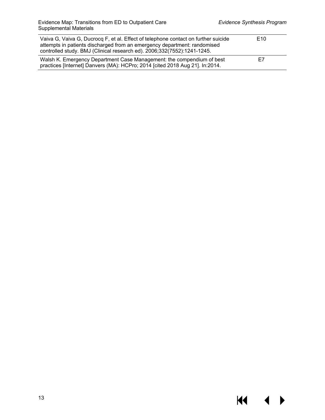$\blacklozenge$ 

 $\blacktriangleright$ 

**KI** 

| Vaiva G, Vaiva G, Ducrocq F, et al. Effect of telephone contact on further suicide<br>attempts in patients discharged from an emergency department: randomised<br>controlled study. BMJ (Clinical research ed). 2006;332(7552):1241-1245. | E <sub>10</sub> |
|-------------------------------------------------------------------------------------------------------------------------------------------------------------------------------------------------------------------------------------------|-----------------|
| Walsh K. Emergency Department Case Management: the compendium of best<br>practices [Internet] Danvers (MA): HCPro; 2014 [cited 2018 Aug 21]. In:2014.                                                                                     | E7              |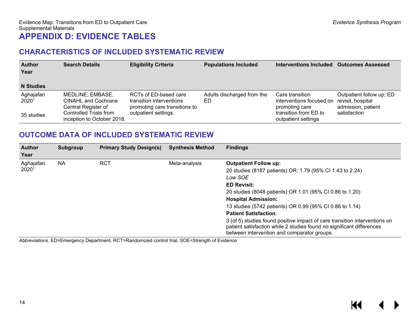## **CHARACTERISTICS OF INCLUDED SYSTEMATIC REVIEW**

| <b>Author</b><br>Year<br><b>N</b> Studies | <b>Search Details</b>                                                 | <b>Eligibility Criteria</b>                                                        | <b>Populations Included</b>      | Interventions Included                                        | <b>Outcomes Assessed</b>                                            |
|-------------------------------------------|-----------------------------------------------------------------------|------------------------------------------------------------------------------------|----------------------------------|---------------------------------------------------------------|---------------------------------------------------------------------|
| Aghajafari<br>2020 <sup>1</sup>           | MEDLINE, EMBASE,<br><b>CINAHL and Cochrane</b><br>Central Register of | RCTs of ED-based care<br>transition interventions<br>promoting care transitions to | Adults discharged from the<br>ED | Care transition<br>interventions focused on<br>promoting care | Outpatient follow up, ED<br>revisit, hospital<br>admission, patient |
| 35 studies                                | Controlled Trials from<br>inception to October 2018.                  | outpatient settings.                                                               |                                  | transition from ED to<br>outpatient settings                  | satisfaction                                                        |

## <span id="page-15-0"></span>**OUTCOME DATA OF INCLUDED SYSTEMATIC REVIEW**

<span id="page-15-1"></span>

| <b>Author</b><br>Year | Subgroup  | <b>Primary Study Design(s)</b> | <b>Synthesis Method</b> | <b>Findings</b>                                                                                                                                                                                    |
|-----------------------|-----------|--------------------------------|-------------------------|----------------------------------------------------------------------------------------------------------------------------------------------------------------------------------------------------|
| Aghajafari            | <b>NA</b> | <b>RCT</b>                     | Meta-analysis           | <b>Outpatient Follow up:</b>                                                                                                                                                                       |
| 2020 <sup>1</sup>     |           |                                |                         | 20 studies (8187 patients) OR: 1.79 (95% CI 1.43 to 2.24)                                                                                                                                          |
|                       |           |                                |                         | Low SOE                                                                                                                                                                                            |
|                       |           |                                |                         | <b>ED Revisit:</b>                                                                                                                                                                                 |
|                       |           |                                |                         | 20 studies (8048 patients) OR 1.01 (95% CI 0.86 to 1.20)                                                                                                                                           |
|                       |           |                                |                         | <b>Hospital Admission:</b>                                                                                                                                                                         |
|                       |           |                                |                         | 13 studies (5742 patients) OR 0.99 (95% CI 0.86 to 1.14)                                                                                                                                           |
|                       |           |                                |                         | <b>Patient Satisfaction:</b>                                                                                                                                                                       |
|                       |           |                                |                         | 3 (of 5) studies found positive impact of care transition interventions on<br>patient satisfaction while 2 studies found no significant differences<br>between intervention and comparator groups. |

<span id="page-15-2"></span>*Abbreviations.* ED=Emergency Department, RCT=Randomized control trial, SOE=Strength of Evidence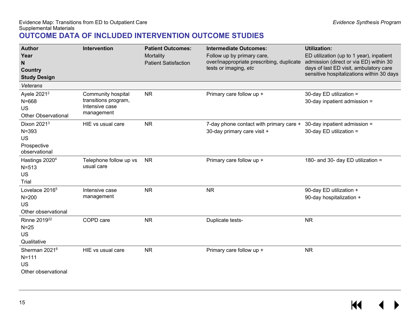## **OUTCOME DATA OF INCLUDED INTERVENTION OUTCOME STUDIES**

<span id="page-16-0"></span>

| <b>Author</b><br>Year<br>N<br><b>Country</b><br><b>Study Design</b><br>Veterans<br>Ayele 2021 <sup>2</sup> | Intervention<br>Community hospital                   | <b>Patient Outcomes:</b><br>Mortality<br><b>Patient Satisfaction</b><br><b>NR</b> | <b>Intermediate Outcomes:</b><br>Follow up by primary care,<br>over/inappropriate prescribing, duplicate<br>tests or imaging, etc<br>Primary care follow up + | <b>Utilization:</b><br>ED utilization (up to 1 year), inpatient<br>admission (direct or via ED) within 30<br>days of last ED visit, ambulatory care<br>sensitive hospitalizations within 30 days<br>30-day ED utilization = |
|------------------------------------------------------------------------------------------------------------|------------------------------------------------------|-----------------------------------------------------------------------------------|---------------------------------------------------------------------------------------------------------------------------------------------------------------|-----------------------------------------------------------------------------------------------------------------------------------------------------------------------------------------------------------------------------|
| $N = 668$<br><b>US</b><br><b>Other Observational</b>                                                       | transitions program,<br>Intensive case<br>management |                                                                                   |                                                                                                                                                               | 30-day inpatient admission =                                                                                                                                                                                                |
| Dixon 2021 <sup>3</sup><br>$N = 393$<br><b>US</b><br>Prospective<br>observational                          | HIE vs usual care                                    | <b>NR</b>                                                                         | 7-day phone contact with primary care +<br>30-day primary care visit +                                                                                        | 30-day inpatient admission =<br>30-day ED utilization =                                                                                                                                                                     |
| Hastings 2020 <sup>4</sup><br>$N = 513$<br>US<br>Trial                                                     | Telephone follow up vs<br>usual care                 | <b>NR</b>                                                                         | Primary care follow up +                                                                                                                                      | 180- and 30- day ED utilization =                                                                                                                                                                                           |
| Lovelace 2016 <sup>5</sup><br>$N = 200$<br><b>US</b><br>Other observational                                | Intensive case<br>management                         | <b>NR</b>                                                                         | <b>NR</b>                                                                                                                                                     | 90-day ED utilization +<br>90-day hospitalization +                                                                                                                                                                         |
| Rinne 2019 <sup>22</sup><br>$N=25$<br><b>US</b><br>Qualitative                                             | COPD care                                            | <b>NR</b>                                                                         | Duplicate tests-                                                                                                                                              | <b>NR</b>                                                                                                                                                                                                                   |
| Sherman 2021 <sup>6</sup><br>$N = 111$<br><b>US</b><br>Other observational                                 | HIE vs usual care                                    | <b>NR</b>                                                                         | Primary care follow up +                                                                                                                                      | <b>NR</b>                                                                                                                                                                                                                   |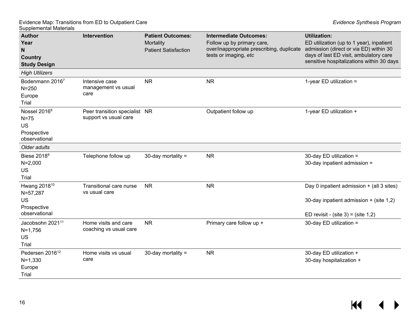| <b>Author</b><br>Year<br>$\mathsf{N}$<br><b>Country</b><br><b>Study Design</b>  | Intervention                                           | <b>Patient Outcomes:</b><br>Mortality<br><b>Patient Satisfaction</b> | <b>Intermediate Outcomes:</b><br>Follow up by primary care,<br>over/inappropriate prescribing, duplicate<br>tests or imaging, etc | <b>Utilization:</b><br>ED utilization (up to 1 year), inpatient<br>admission (direct or via ED) within 30<br>days of last ED visit, ambulatory care<br>sensitive hospitalizations within 30 days |
|---------------------------------------------------------------------------------|--------------------------------------------------------|----------------------------------------------------------------------|-----------------------------------------------------------------------------------------------------------------------------------|--------------------------------------------------------------------------------------------------------------------------------------------------------------------------------------------------|
| <b>High Utilizers</b>                                                           |                                                        |                                                                      |                                                                                                                                   |                                                                                                                                                                                                  |
| Bodenmann 20167<br>$N = 250$<br>Europe<br>Trial                                 | Intensive case<br>management vs usual<br>care          | <b>NR</b>                                                            | <b>NR</b>                                                                                                                         | 1-year ED utilization $=$                                                                                                                                                                        |
| Nossel 2016 <sup>8</sup><br>$N=75$<br><b>US</b><br>Prospective<br>observational | Peer transition specialist NR<br>support vs usual care |                                                                      | Outpatient follow up                                                                                                              | 1-year ED utilization +                                                                                                                                                                          |
| Older adults                                                                    |                                                        |                                                                      |                                                                                                                                   |                                                                                                                                                                                                  |
| Biese 2018 <sup>9</sup><br>$N = 2,000$<br><b>US</b><br>Trial                    | Telephone follow up                                    | 30-day mortality $=$                                                 | <b>NR</b>                                                                                                                         | 30-day ED utilization =<br>30-day inpatient admission =                                                                                                                                          |
| Hwang 2018 <sup>10</sup><br>N=57,287<br>US<br>Prospective<br>observational      | Transitional care nurse<br>vs usual care               | <b>NR</b>                                                            | <b>NR</b>                                                                                                                         | Day 0 inpatient admission + (all 3 sites)<br>30-day inpatient admission + (site 1,2)<br>ED revisit - (site $3$ ) = (site $1,2$ )                                                                 |
| Jacobsohn 2021 <sup>11</sup><br>$N = 1,756$<br>US<br>Trial                      | Home visits and care<br>coaching vs usual care         | <b>NR</b>                                                            | Primary care follow up +                                                                                                          | 30-day ED utilization =                                                                                                                                                                          |
| Pedersen 2016 <sup>12</sup><br>$N=1,330$<br>Europe<br>Trial                     | Home visits vs usual<br>care                           | 30-day mortality $=$                                                 | <b>NR</b>                                                                                                                         | 30-day ED utilization +<br>30-day hospitalization +                                                                                                                                              |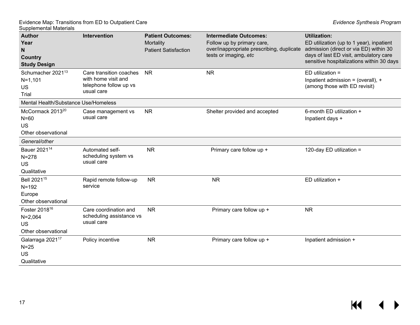| <b>Author</b><br>Year<br>N<br>Country<br><b>Study Design</b>                 | Intervention                                                                           | <b>Patient Outcomes:</b><br>Mortality<br><b>Patient Satisfaction</b> | <b>Intermediate Outcomes:</b><br>Follow up by primary care,<br>over/inappropriate prescribing, duplicate<br>tests or imaging, etc | <b>Utilization:</b><br>ED utilization (up to 1 year), inpatient<br>admission (direct or via ED) within 30<br>days of last ED visit, ambulatory care<br>sensitive hospitalizations within 30 days |
|------------------------------------------------------------------------------|----------------------------------------------------------------------------------------|----------------------------------------------------------------------|-----------------------------------------------------------------------------------------------------------------------------------|--------------------------------------------------------------------------------------------------------------------------------------------------------------------------------------------------|
| Schumacher 2021 <sup>13</sup><br>$N = 1,101$<br>US<br>Trial                  | Care transition coaches<br>with home visit and<br>telephone follow up vs<br>usual care | <b>NR</b>                                                            | <b>NR</b>                                                                                                                         | $ED$ utilization =<br>Inpatient admission = (overall), +<br>(among those with ED revisit)                                                                                                        |
| Mental Health/Substance Use/Homeless                                         |                                                                                        |                                                                      |                                                                                                                                   |                                                                                                                                                                                                  |
| McCormack 2013 <sup>20</sup><br>$N=60$<br><b>US</b><br>Other observational   | Case management vs<br>usual care                                                       | <b>NR</b>                                                            | Shelter provided and accepted                                                                                                     | 6-month ED utilization +<br>Inpatient days +                                                                                                                                                     |
| General/other                                                                |                                                                                        |                                                                      |                                                                                                                                   |                                                                                                                                                                                                  |
| Bauer 2021 <sup>14</sup><br>$N = 278$<br><b>US</b><br>Qualitative            | Automated self-<br>scheduling system vs<br>usual care                                  | <b>NR</b>                                                            | Primary care follow up +                                                                                                          | 120-day ED utilization =                                                                                                                                                                         |
| Bell 2021 <sup>15</sup><br>$N = 192$<br>Europe<br>Other observational        | Rapid remote follow-up<br>service                                                      | <b>NR</b>                                                            | <b>NR</b>                                                                                                                         | ED utilization +                                                                                                                                                                                 |
| Foster 2018 <sup>16</sup><br>$N = 2,064$<br><b>US</b><br>Other observational | Care coordination and<br>scheduling assistance vs<br>usual care                        | <b>NR</b>                                                            | Primary care follow up +                                                                                                          | <b>NR</b>                                                                                                                                                                                        |
| Galarraga 2021 <sup>17</sup><br>$N = 25$<br><b>US</b><br>Qualitative         | Policy incentive                                                                       | <b>NR</b>                                                            | Primary care follow up +                                                                                                          | Inpatient admission +                                                                                                                                                                            |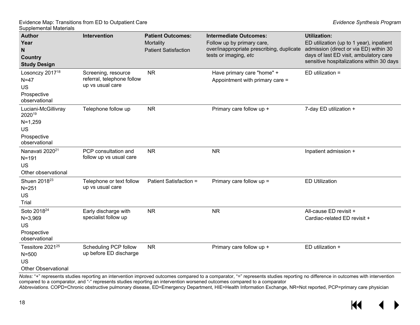| <b>Author</b><br>Year<br>$\mathsf{N}$<br><b>Country</b><br><b>Study Design</b>          | <b>Intervention</b>                                                   | <b>Patient Outcomes:</b><br>Mortality<br><b>Patient Satisfaction</b> | <b>Intermediate Outcomes:</b><br>Follow up by primary care,<br>over/inappropriate prescribing, duplicate<br>tests or imaging, etc | <b>Utilization:</b><br>ED utilization (up to 1 year), inpatient<br>admission (direct or via ED) within 30<br>days of last ED visit, ambulatory care<br>sensitive hospitalizations within 30 days |
|-----------------------------------------------------------------------------------------|-----------------------------------------------------------------------|----------------------------------------------------------------------|-----------------------------------------------------------------------------------------------------------------------------------|--------------------------------------------------------------------------------------------------------------------------------------------------------------------------------------------------|
| Losonczy 2017 <sup>18</sup><br>$N=47$<br><b>US</b><br>Prospective<br>observational      | Screening, resource<br>referral, telephone follow<br>up vs usual care | <b>NR</b>                                                            | Have primary care "home" +<br>Appointment with primary care =                                                                     | $ED$ utilization =                                                                                                                                                                               |
| Luciani-McGillivray<br>202019<br>$N=1,259$<br><b>US</b><br>Prospective<br>observational | Telephone follow up                                                   | <b>NR</b>                                                            | Primary care follow up +                                                                                                          | 7-day ED utilization +                                                                                                                                                                           |
| Nanavati 2020 <sup>21</sup><br>$N = 191$<br><b>US</b><br>Other observational            | PCP consultation and<br>follow up vs usual care                       | <b>NR</b>                                                            | <b>NR</b>                                                                                                                         | Inpatient admission +                                                                                                                                                                            |
| Shuen 2018 <sup>23</sup><br>$N = 251$<br>US<br>Trial                                    | Telephone or text follow<br>up vs usual care                          | <b>Patient Satisfaction =</b>                                        | Primary care follow $up =$                                                                                                        | <b>ED Utilization</b>                                                                                                                                                                            |
| Soto 2018 <sup>24</sup><br>$N = 3,969$<br><b>US</b><br>Prospective<br>observational     | Early discharge with<br>specialist follow up                          | <b>NR</b>                                                            | <b>NR</b>                                                                                                                         | All-cause ED revisit +<br>Cardiac-related ED revisit +                                                                                                                                           |
| Tessitore 2021 <sup>25</sup><br>$N = 500$<br>US<br><b>Other Observational</b>           | Scheduling PCP follow<br>up before ED discharge                       | <b>NR</b>                                                            | Primary care follow up +                                                                                                          | ED utilization +                                                                                                                                                                                 |

*Notes:* "+" represents studies reporting an intervention improved outcomes compared to a comparator, "=" represents studies reporting no difference in outcomes with intervention compared to a comparator, and "-" represents studies reporting an intervention worsened outcomes compared to a comparator *Abbreviations.* COPD=Chronic obstructive pulmonary disease, ED=Emergency Department, HIE=Health Information Exchange, NR=Not reported, PCP=primary care physician

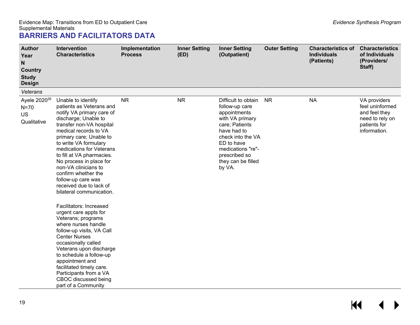<span id="page-20-0"></span>

| <b>Author</b><br>Year<br>N<br><b>Country</b><br><b>Study</b><br><b>Design</b> | Intervention<br><b>Characteristics</b>                                                                                                                                                                                                                                                                                                                                                                                                                                                                                                                                                                                                                                                                                                                                                  | Implementation<br><b>Process</b> | <b>Inner Setting</b><br>(ED) | <b>Inner Setting</b><br>(Outpatient)                                                                                                                                                                               | <b>Outer Setting</b> | <b>Characteristics of</b><br><b>Individuals</b><br>(Patients) | <b>Characteristics</b><br>of Individuals<br>(Providers/<br>Staff)                                   |
|-------------------------------------------------------------------------------|-----------------------------------------------------------------------------------------------------------------------------------------------------------------------------------------------------------------------------------------------------------------------------------------------------------------------------------------------------------------------------------------------------------------------------------------------------------------------------------------------------------------------------------------------------------------------------------------------------------------------------------------------------------------------------------------------------------------------------------------------------------------------------------------|----------------------------------|------------------------------|--------------------------------------------------------------------------------------------------------------------------------------------------------------------------------------------------------------------|----------------------|---------------------------------------------------------------|-----------------------------------------------------------------------------------------------------|
| Veterans                                                                      |                                                                                                                                                                                                                                                                                                                                                                                                                                                                                                                                                                                                                                                                                                                                                                                         |                                  |                              |                                                                                                                                                                                                                    |                      |                                                               |                                                                                                     |
| Ayele 2020 <sup>26</sup><br>$N=70$<br><b>US</b><br>Qualitative                | Unable to identify<br>patients as Veterans and<br>notify VA primary care of<br>discharge; Unable to<br>transfer non-VA hospital<br>medical records to VA<br>primary care; Unable to<br>to write VA formulary<br>medications for Veterans<br>to fill at VA pharmacies.<br>No process in place for<br>non-VA clinicians to<br>confirm whether the<br>follow-up care was<br>received due to lack of<br>bilateral communication.<br>Facilitators: Increased<br>urgent care appts for<br>Veterans; programs<br>where nurses handle<br>follow-up visits, VA Call<br><b>Center Nurses</b><br>occasionally called<br>Veterans upon discharge<br>to schedule a follow-up<br>appointment and<br>facilitated timely care.<br>Participants from a VA<br>CBOC discussed being<br>part of a Community | <b>NR</b>                        | <b>NR</b>                    | Difficult to obtain<br>follow-up care<br>appointments<br>with VA primary<br>care; Patients<br>have had to<br>check into the VA<br>ED to have<br>medications "re"-<br>prescribed so<br>they can be filled<br>by VA. | <b>NR</b>            | <b>NA</b>                                                     | VA providers<br>feel uninformed<br>and feel they<br>need to rely on<br>patients for<br>information. |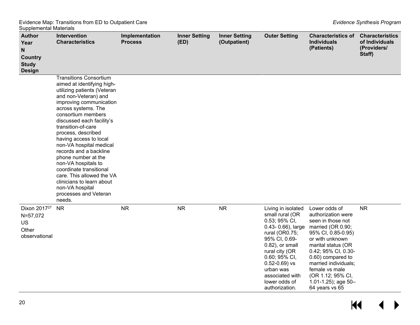| .<br><b>Author</b><br>Year<br>$\mathsf{N}$<br><b>Country</b><br><b>Study</b><br><b>Design</b> | Intervention<br><b>Characteristics</b>                                                                                                                                                                                                                                                                                                                                                                                                                                                                                                      | Implementation<br><b>Process</b> | <b>Inner Setting</b><br>(ED) | <b>Inner Setting</b><br>(Outpatient) | <b>Outer Setting</b>                                                                                                                                                                                                                                          | <b>Characteristics of</b><br><b>Individuals</b><br>(Patients)                                                                                                                                                                                                                                      | <b>Characteristics</b><br>of Individuals<br>(Providers/<br>Staff) |
|-----------------------------------------------------------------------------------------------|---------------------------------------------------------------------------------------------------------------------------------------------------------------------------------------------------------------------------------------------------------------------------------------------------------------------------------------------------------------------------------------------------------------------------------------------------------------------------------------------------------------------------------------------|----------------------------------|------------------------------|--------------------------------------|---------------------------------------------------------------------------------------------------------------------------------------------------------------------------------------------------------------------------------------------------------------|----------------------------------------------------------------------------------------------------------------------------------------------------------------------------------------------------------------------------------------------------------------------------------------------------|-------------------------------------------------------------------|
|                                                                                               | <b>Transitions Consortium</b><br>aimed at identifying high-<br>utilizing patients (Veteran<br>and non-Veteran) and<br>improving communication<br>across systems. The<br>consortium members<br>discussed each facility's<br>transition-of-care<br>process, described<br>having access to local<br>non-VA hospital medical<br>records and a backline<br>phone number at the<br>non-VA hospitals to<br>coordinate transitional<br>care. This allowed the VA<br>clinicians to learn about<br>non-VA hospital<br>processes and Veteran<br>needs. |                                  |                              |                                      |                                                                                                                                                                                                                                                               |                                                                                                                                                                                                                                                                                                    |                                                                   |
| Dixon 2017 <sup>27</sup><br>N=57,072<br>US<br>Other<br>observational                          | <b>NR</b>                                                                                                                                                                                                                                                                                                                                                                                                                                                                                                                                   | <b>NR</b>                        | <b>NR</b>                    | <b>NR</b>                            | Living in isolated<br>small rural (OR<br>0.53; 95% CI,<br>0.43-0.66), large<br>rural (OR0.75;<br>95% CI, 0.69-<br>0.82), or small<br>rural city (OR<br>0.60; 95% CI,<br>$0.52 - 0.69$ ) vs<br>urban was<br>associated with<br>lower odds of<br>authorization. | Lower odds of<br>authorization were<br>seen in those not<br>married (OR 0.90;<br>95% CI, 0.85-0.95)<br>or with unknown<br>marital status (OR<br>0.42; 95% CI, 0.30-<br>0.60) compared to<br>married individuals;<br>female vs male<br>(OR 1.12; 95% CI,<br>1.01-1.25); age $50-$<br>64 years vs 65 | <b>NR</b>                                                         |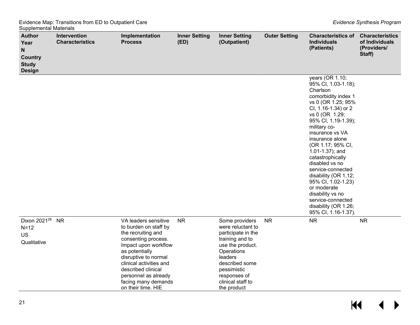| ouppionioniai matonaio<br><b>Author</b><br>Year<br>$\mathsf{N}$<br><b>Country</b><br><b>Study</b><br><b>Design</b> | Intervention<br><b>Characteristics</b> | Implementation<br><b>Process</b>                                                                                                                                                                                                                                                   | <b>Inner Setting</b><br>(ED) | <b>Inner Setting</b><br>(Outpatient)                                                                                                                                                                           | <b>Outer Setting</b> | <b>Characteristics of</b><br><b>Individuals</b><br>(Patients)                                                                                                                                                                                                                                                                                                                                                                                                                 | <b>Characteristics</b><br>of Individuals<br>(Providers/<br>Staff) |
|--------------------------------------------------------------------------------------------------------------------|----------------------------------------|------------------------------------------------------------------------------------------------------------------------------------------------------------------------------------------------------------------------------------------------------------------------------------|------------------------------|----------------------------------------------------------------------------------------------------------------------------------------------------------------------------------------------------------------|----------------------|-------------------------------------------------------------------------------------------------------------------------------------------------------------------------------------------------------------------------------------------------------------------------------------------------------------------------------------------------------------------------------------------------------------------------------------------------------------------------------|-------------------------------------------------------------------|
|                                                                                                                    |                                        |                                                                                                                                                                                                                                                                                    |                              |                                                                                                                                                                                                                |                      | years (OR 1.10;<br>95% CI, 1.03-1.18);<br>Charlson<br>comorbidity index 1<br>vs 0 (OR 1.25; 95%<br>CI, 1.16-1.34) or 2<br>vs 0 (OR 1.29;<br>95% CI, 1.19-1.39);<br>military co-<br>insurance vs VA<br>insurance alone<br>(OR 1.17; 95% CI,<br>1.01-1.37); and<br>catastrophically<br>disabled vs no<br>service-connected<br>disability (OR 1.12;<br>95% CI, 1.02-1.23)<br>or moderate<br>disability vs no<br>service-connected<br>disability (OR 1.26;<br>95% CI, 1.16-1.37). |                                                                   |
| Dixon 2021 <sup>28</sup><br>$N=12$<br><b>US</b><br>Qualitative                                                     | <b>NR</b>                              | VA leaders sensitive<br>to burden on staff by<br>the recruiting and<br>consenting process.<br>Impact upon workflow<br>as potentially<br>disruptive to normal<br>clinical activities and<br>described clinical<br>personnel as already<br>facing many demands<br>on their time. HIE | <b>NR</b>                    | Some providers<br>were reluctant to<br>participate in the<br>training and to<br>use the product.<br>Operations<br>leaders<br>described some<br>pessimistic<br>responses of<br>clinical staff to<br>the product | <b>NR</b>            | <b>NR</b>                                                                                                                                                                                                                                                                                                                                                                                                                                                                     | <b>NR</b>                                                         |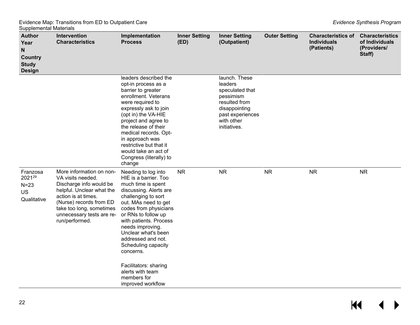| <b>Author</b><br>Year<br>N<br><b>Country</b><br><b>Study</b><br><b>Design</b> | Intervention<br><b>Characteristics</b>                                                                                                                                                                                             | Implementation<br><b>Process</b>                                                                                                                                                                                                                                                                                                                    | <b>Inner Setting</b><br>(ED) | <b>Inner Setting</b><br>(Outpatient)                                                                                                         | <b>Outer Setting</b> | <b>Characteristics of</b><br><b>Individuals</b><br>(Patients) | <b>Characteristics</b><br>of Individuals<br>(Providers/<br>Staff) |
|-------------------------------------------------------------------------------|------------------------------------------------------------------------------------------------------------------------------------------------------------------------------------------------------------------------------------|-----------------------------------------------------------------------------------------------------------------------------------------------------------------------------------------------------------------------------------------------------------------------------------------------------------------------------------------------------|------------------------------|----------------------------------------------------------------------------------------------------------------------------------------------|----------------------|---------------------------------------------------------------|-------------------------------------------------------------------|
|                                                                               |                                                                                                                                                                                                                                    | leaders described the<br>opt-in process as a<br>barrier to greater<br>enrollment. Veterans<br>were required to<br>expressly ask to join<br>(opt in) the VA-HIE<br>project and agree to<br>the release of their<br>medical records. Opt-<br>in approach was<br>restrictive but that it<br>would take an act of<br>Congress (literally) to<br>change  |                              | launch. These<br>leaders<br>speculated that<br>pessimism<br>resulted from<br>disappointing<br>past experiences<br>with other<br>initiatives. |                      |                                                               |                                                                   |
| Franzosa<br>202129<br>$N=23$<br><b>US</b><br>Qualitative                      | More information on non-<br>VA visits needed.<br>Discharge info would be<br>helpful. Unclear what the<br>action is at times.<br>(Nurse) records from ED<br>take too long, sometimes<br>unnecessary tests are re-<br>run/performed. | Needing to log into<br>HIE is a barrier. Too<br>much time is spent<br>discussing. Alerts are<br>challenging to sort<br>out. MAs need to get<br>codes from physicians<br>or RNs to follow up<br>with patients. Process<br>needs improving.<br>Unclear what's been<br>addressed and not.<br>Scheduling capacity<br>concerns.<br>Facilitators: sharing | <b>NR</b>                    | <b>NR</b>                                                                                                                                    | <b>NR</b>            | <b>NR</b>                                                     | <b>NR</b>                                                         |
|                                                                               |                                                                                                                                                                                                                                    | alerts with team<br>members for<br>improved workflow                                                                                                                                                                                                                                                                                                |                              |                                                                                                                                              |                      |                                                               |                                                                   |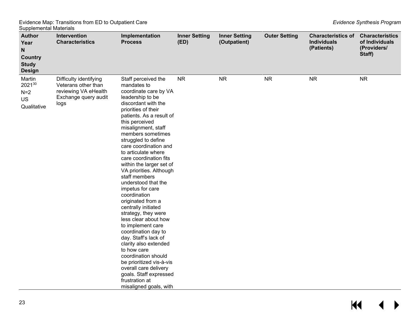| <b>Author</b><br>Year<br>N<br><b>Country</b><br><b>Study</b><br><b>Design</b> | Intervention<br><b>Characteristics</b>                                                                | Implementation<br><b>Process</b>                                                                                                                                                                                                                                                                                                                                                                                                                                                                                                                                                                                                                                                                                                                                                                                     | <b>Inner Setting</b><br>(ED) | <b>Inner Setting</b><br>(Outpatient) | <b>Outer Setting</b> | <b>Characteristics of</b><br><b>Individuals</b><br>(Patients) | <b>Characteristics</b><br>of Individuals<br>(Providers/<br>Staff) |
|-------------------------------------------------------------------------------|-------------------------------------------------------------------------------------------------------|----------------------------------------------------------------------------------------------------------------------------------------------------------------------------------------------------------------------------------------------------------------------------------------------------------------------------------------------------------------------------------------------------------------------------------------------------------------------------------------------------------------------------------------------------------------------------------------------------------------------------------------------------------------------------------------------------------------------------------------------------------------------------------------------------------------------|------------------------------|--------------------------------------|----------------------|---------------------------------------------------------------|-------------------------------------------------------------------|
| Martin<br>202130<br>$N=2$<br><b>US</b><br>Qualitative                         | Difficulty identifying<br>Veterans other than<br>reviewing VA eHealth<br>Exchange query audit<br>logs | Staff perceived the<br>mandates to<br>coordinate care by VA<br>leadership to be<br>discordant with the<br>priorities of their<br>patients. As a result of<br>this perceived<br>misalignment, staff<br>members sometimes<br>struggled to define<br>care coordination and<br>to articulate where<br>care coordination fits<br>within the larger set of<br>VA priorities. Although<br>staff members<br>understood that the<br>impetus for care<br>coordination<br>originated from a<br>centrally initiated<br>strategy, they were<br>less clear about how<br>to implement care<br>coordination day to<br>day. Staff's lack of<br>clarity also extended<br>to how care<br>coordination should<br>be prioritized vis-à-vis<br>overall care delivery<br>goals. Staff expressed<br>frustration at<br>misaligned goals, with | <b>NR</b>                    | <b>NR</b>                            | <b>NR</b>            | <b>NR</b>                                                     | <b>NR</b>                                                         |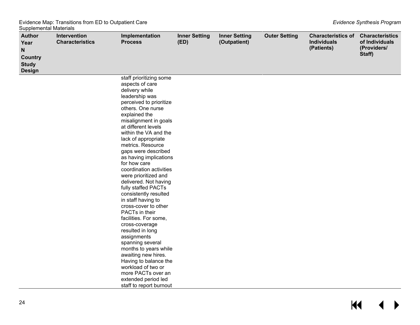| <b>Author</b><br>Year<br>N<br><b>Country</b><br><b>Study</b><br><b>Design</b> | Intervention<br><b>Characteristics</b> | Implementation<br><b>Process</b>                                                                                                                                                                                                                                                                                                                                                                                                                                                                                                                                                                                                                                                                                                                                                                           | <b>Inner Setting</b><br>(ED) | <b>Inner Setting</b><br>(Outpatient) | <b>Outer Setting</b> | <b>Characteristics of</b><br><b>Individuals</b><br>(Patients) | <b>Characteristics</b><br>of Individuals<br>(Providers/<br>Staff) |
|-------------------------------------------------------------------------------|----------------------------------------|------------------------------------------------------------------------------------------------------------------------------------------------------------------------------------------------------------------------------------------------------------------------------------------------------------------------------------------------------------------------------------------------------------------------------------------------------------------------------------------------------------------------------------------------------------------------------------------------------------------------------------------------------------------------------------------------------------------------------------------------------------------------------------------------------------|------------------------------|--------------------------------------|----------------------|---------------------------------------------------------------|-------------------------------------------------------------------|
|                                                                               |                                        | staff prioritizing some<br>aspects of care<br>delivery while<br>leadership was<br>perceived to prioritize<br>others. One nurse<br>explained the<br>misalignment in goals<br>at different levels<br>within the VA and the<br>lack of appropriate<br>metrics. Resource<br>gaps were described<br>as having implications<br>for how care<br>coordination activities<br>were prioritized and<br>delivered. Not having<br>fully staffed PACTs<br>consistently resulted<br>in staff having to<br>cross-cover to other<br>PACTs in their<br>facilities. For some,<br>cross-coverage<br>resulted in long<br>assignments<br>spanning several<br>months to years while<br>awaiting new hires.<br>Having to balance the<br>workload of two or<br>more PACTs over an<br>extended period led<br>staff to report burnout |                              |                                      |                      |                                                               |                                                                   |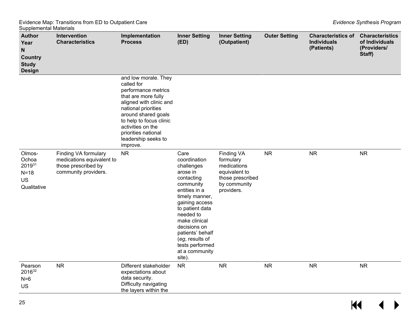| ັ∽<br>,,,,,,,,,,,,,,,,,,,,,,,<br><b>Author</b><br>Year<br>$\mathsf N$<br><b>Country</b><br><b>Study</b><br><b>Design</b> | Intervention<br><b>Characteristics</b>                                                           | Implementation<br><b>Process</b>                                                                                                                                                                                                                                    | <b>Inner Setting</b><br>(ED)                                                                                                                                                                                                                                                          | <b>Inner Setting</b><br>(Outpatient)                                                                      | <b>Outer Setting</b> | <b>Characteristics of</b><br><b>Individuals</b><br>(Patients) | <b>Characteristics</b><br>of Individuals<br>(Providers/<br>Staff) |
|--------------------------------------------------------------------------------------------------------------------------|--------------------------------------------------------------------------------------------------|---------------------------------------------------------------------------------------------------------------------------------------------------------------------------------------------------------------------------------------------------------------------|---------------------------------------------------------------------------------------------------------------------------------------------------------------------------------------------------------------------------------------------------------------------------------------|-----------------------------------------------------------------------------------------------------------|----------------------|---------------------------------------------------------------|-------------------------------------------------------------------|
|                                                                                                                          |                                                                                                  | and low morale. They<br>called for<br>performance metrics<br>that are more fully<br>aligned with clinic and<br>national priorities<br>around shared goals<br>to help to focus clinic<br>activities on the<br>priorities national<br>leadership seeks to<br>improve. |                                                                                                                                                                                                                                                                                       |                                                                                                           |                      |                                                               |                                                                   |
| Olmos-<br>Ochoa<br>201931<br>$N=18$<br>US<br>Qualitative                                                                 | Finding VA formulary<br>medications equivalent to<br>those prescribed by<br>community providers. | <b>NR</b>                                                                                                                                                                                                                                                           | Care<br>coordination<br>challenges<br>arose in<br>contacting<br>community<br>entities in a<br>timely manner,<br>gaining access<br>to patient data<br>needed to<br>make clinical<br>decisions on<br>patients' behalf<br>(eg, results of<br>tests performed<br>at a community<br>site). | Finding VA<br>formulary<br>medications<br>equivalent to<br>those prescribed<br>by community<br>providers. | <b>NR</b>            | <b>NR</b>                                                     | <b>NR</b>                                                         |
| Pearson<br>201632<br>$N=6$<br>US                                                                                         | NR                                                                                               | Different stakeholder<br>expectations about<br>data security.<br>Difficulty navigating<br>the layers within the                                                                                                                                                     | <b>NR</b>                                                                                                                                                                                                                                                                             | <b>NR</b>                                                                                                 | <b>NR</b>            | <b>NR</b>                                                     | <b>NR</b>                                                         |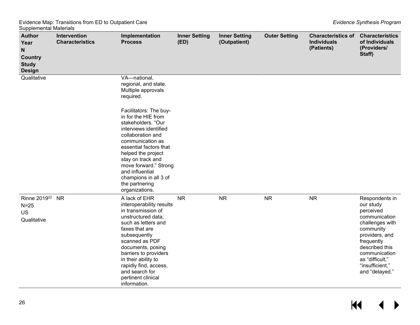| <b>Author</b><br>Year<br>N<br><b>Country</b><br><b>Study</b><br><b>Design</b> | Intervention<br><b>Characteristics</b> | Implementation<br><b>Process</b>                                                                                                                                                                                                                                                                                       | <b>Inner Setting</b><br>(ED) | <b>Inner Setting</b><br>(Outpatient) | <b>Outer Setting</b> | <b>Characteristics of</b><br><b>Individuals</b><br>(Patients) | <b>Characteristics</b><br>of Individuals<br>(Providers/<br>Staff)                                                                                                                                                    |
|-------------------------------------------------------------------------------|----------------------------------------|------------------------------------------------------------------------------------------------------------------------------------------------------------------------------------------------------------------------------------------------------------------------------------------------------------------------|------------------------------|--------------------------------------|----------------------|---------------------------------------------------------------|----------------------------------------------------------------------------------------------------------------------------------------------------------------------------------------------------------------------|
| Qualitative                                                                   |                                        | VA-national,<br>regional, and state.<br>Multiple approvals<br>required.                                                                                                                                                                                                                                                |                              |                                      |                      |                                                               |                                                                                                                                                                                                                      |
|                                                                               |                                        | Facilitators: The buy-<br>in for the HIE from<br>stakeholders. "Our<br>interviews identified<br>collaboration and<br>communication as<br>essential factors that<br>helped the project<br>stay on track and<br>move forward." Strong<br>and influential<br>champions in all 3 of<br>the partnering<br>organizations.    |                              |                                      |                      |                                                               |                                                                                                                                                                                                                      |
| Rinne 2019 <sup>22</sup> NR<br>$N=25$<br><b>US</b><br>Qualitative             |                                        | A lack of EHR<br>interoperability results<br>in transmission of<br>unstructured data,<br>such as letters and<br>faxes that are<br>subsequently<br>scanned as PDF<br>documents, posing<br>barriers to providers<br>in their ability to<br>rapidly find, access,<br>and search for<br>pertinent clinical<br>information. | <b>NR</b>                    | <b>NR</b>                            | <b>NR</b>            | <b>NR</b>                                                     | Respondents in<br>our study<br>perceived<br>communication<br>challenges with<br>community<br>providers, and<br>frequently<br>described this<br>communication<br>as "difficult,"<br>"insufficient,"<br>and "delayed." |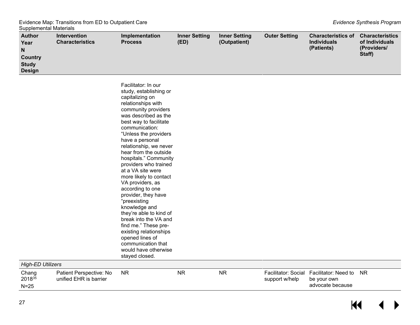advocate because

 $\overline{\mathbf{M}}$ 

 $\blacktriangleleft$  $\blacktriangleright$ 

| ouppionioniai matonais<br><b>Author</b><br>Year<br>N<br><b>Country</b><br><b>Study</b> | Intervention<br><b>Characteristics</b>            | Implementation<br><b>Process</b>                                                                                                                                                                                                                                                                                                                                                                                                                                                                                                                                                                                                                                           | <b>Inner Setting</b><br>(ED) | <b>Inner Setting</b><br>(Outpatient) | <b>Outer Setting</b>                  | <b>Characteristics of</b><br><b>Individuals</b><br>(Patients) | <b>Characteristics</b><br>of Individuals<br>(Providers/<br>Staff) |
|----------------------------------------------------------------------------------------|---------------------------------------------------|----------------------------------------------------------------------------------------------------------------------------------------------------------------------------------------------------------------------------------------------------------------------------------------------------------------------------------------------------------------------------------------------------------------------------------------------------------------------------------------------------------------------------------------------------------------------------------------------------------------------------------------------------------------------------|------------------------------|--------------------------------------|---------------------------------------|---------------------------------------------------------------|-------------------------------------------------------------------|
| <b>Design</b>                                                                          |                                                   |                                                                                                                                                                                                                                                                                                                                                                                                                                                                                                                                                                                                                                                                            |                              |                                      |                                       |                                                               |                                                                   |
|                                                                                        |                                                   | Facilitator: In our<br>study, establishing or<br>capitalizing on<br>relationships with<br>community providers<br>was described as the<br>best way to facilitate<br>communication:<br>"Unless the providers<br>have a personal<br>relationship, we never<br>hear from the outside<br>hospitals." Community<br>providers who trained<br>at a VA site were<br>more likely to contact<br>VA providers, as<br>according to one<br>provider, they have<br>"preexisting<br>knowledge and<br>they're able to kind of<br>break into the VA and<br>find me." These pre-<br>existing relationships<br>opened lines of<br>communication that<br>would have otherwise<br>stayed closed. |                              |                                      |                                       |                                                               |                                                                   |
| <b>High-ED Utilizers</b>                                                               |                                                   |                                                                                                                                                                                                                                                                                                                                                                                                                                                                                                                                                                                                                                                                            |                              |                                      |                                       |                                                               |                                                                   |
| Chang<br>2018 <sup>35</sup>                                                            | Patient Perspective: No<br>unified EHR is barrier | <b>NR</b>                                                                                                                                                                                                                                                                                                                                                                                                                                                                                                                                                                                                                                                                  | <b>NR</b>                    | <b>NR</b>                            | Facilitator: Social<br>support w/help | Facilitator: Need to<br>be your own                           | <b>NR</b>                                                         |

27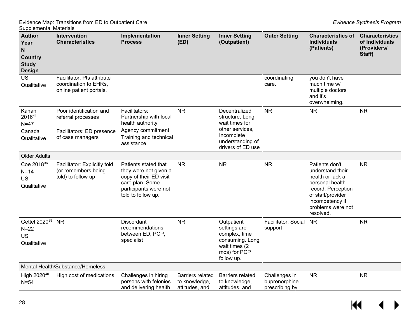| <b>Author</b><br>Year<br>N<br><b>Country</b><br><b>Study</b><br><b>Design</b> | Intervention<br><b>Characteristics</b>                                                         | Implementation<br><b>Process</b>                                                                                                          | <b>Inner Setting</b><br>(ED)                               | <b>Inner Setting</b><br>(Outpatient)                                                                                         | <b>Outer Setting</b>                             | <b>Characteristics of</b><br><b>Individuals</b><br>(Patients)                                                                                                             | <b>Characteristics</b><br>of Individuals<br>(Providers/<br>Staff) |
|-------------------------------------------------------------------------------|------------------------------------------------------------------------------------------------|-------------------------------------------------------------------------------------------------------------------------------------------|------------------------------------------------------------|------------------------------------------------------------------------------------------------------------------------------|--------------------------------------------------|---------------------------------------------------------------------------------------------------------------------------------------------------------------------------|-------------------------------------------------------------------|
| <b>US</b><br>Qualitative                                                      | Facilitator: Pts attribute<br>coordination to EHRs,<br>online patient portals.                 |                                                                                                                                           |                                                            |                                                                                                                              | coordinating<br>care.                            | you don't have<br>much time w/<br>multiple doctors<br>and it's<br>overwhelming.                                                                                           |                                                                   |
| Kahan<br>201641<br>$N=47$<br>Canada<br>Qualitative                            | Poor identification and<br>referral processes<br>Facilitators: ED presence<br>of case managers | Facilitators:<br>Partnership with local<br>health authority<br>Agency commitment<br>Training and technical<br>assistance                  | <b>NR</b>                                                  | Decentralized<br>structure, Long<br>wait times for<br>other services,<br>Incomplete<br>understanding of<br>drivers of ED use | <b>NR</b>                                        | <b>NR</b>                                                                                                                                                                 | <b>NR</b>                                                         |
| <b>Older Adults</b>                                                           |                                                                                                |                                                                                                                                           |                                                            |                                                                                                                              |                                                  |                                                                                                                                                                           |                                                                   |
| Coe 2018 <sup>36</sup><br>$N=14$<br><b>US</b><br>Qualitative                  | Facilitator: Explicitly told<br>(or remembers being<br>told) to follow up                      | Patients stated that<br>they were not given a<br>copy of their ED visit<br>care plan. Some<br>participants were not<br>told to follow up. | <b>NR</b>                                                  | <b>NR</b>                                                                                                                    | <b>NR</b>                                        | Patients don't<br>understand their<br>health or lack a<br>personal health<br>record. Perception<br>of staff/provider<br>incompetency if<br>problems were not<br>resolved. | <b>NR</b>                                                         |
| Gettel 2020 <sup>39</sup><br>$N=22$<br><b>US</b><br>Qualitative               | <b>NR</b>                                                                                      | <b>Discordant</b><br>recommendations<br>between ED, PCP,<br>specialist                                                                    | <b>NR</b>                                                  | Outpatient<br>settings are<br>complex, time<br>consuming. Long<br>wait times (2<br>mos) for PCP<br>follow up.                | Facilitator: Social<br>support                   | <b>NR</b>                                                                                                                                                                 | <b>NR</b>                                                         |
|                                                                               | Mental Health/Substance/Homeless                                                               |                                                                                                                                           |                                                            |                                                                                                                              |                                                  |                                                                                                                                                                           |                                                                   |
| High 2020 <sup>40</sup><br>$N = 54$                                           | High cost of medications                                                                       | Challenges in hiring<br>persons with felonies<br>and delivering health                                                                    | <b>Barriers related</b><br>to knowledge,<br>attitudes, and | <b>Barriers related</b><br>to knowledge,<br>attitudes, and                                                                   | Challenges in<br>buprenorphine<br>prescribing by | <b>NR</b>                                                                                                                                                                 | <b>NR</b>                                                         |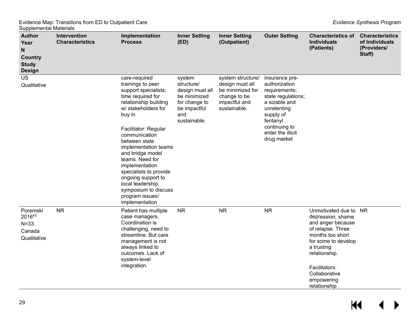| sappismontal materials<br><b>Author</b><br>Year<br>N<br><b>Country</b><br><b>Study</b><br><b>Design</b> | Intervention<br><b>Characteristics</b> | Implementation<br><b>Process</b>                                                                                                                                                                                                                                                                                                                                                                                       | <b>Inner Setting</b><br>(ED)                                                                                    | <b>Inner Setting</b><br>(Outpatient)                                                                      | <b>Outer Setting</b>                                                                                                                                                                 | <b>Characteristics of</b><br><b>Individuals</b><br>(Patients)                                                                                                                                                               | <b>Characteristics</b><br>of Individuals<br>(Providers/<br>Staff) |
|---------------------------------------------------------------------------------------------------------|----------------------------------------|------------------------------------------------------------------------------------------------------------------------------------------------------------------------------------------------------------------------------------------------------------------------------------------------------------------------------------------------------------------------------------------------------------------------|-----------------------------------------------------------------------------------------------------------------|-----------------------------------------------------------------------------------------------------------|--------------------------------------------------------------------------------------------------------------------------------------------------------------------------------------|-----------------------------------------------------------------------------------------------------------------------------------------------------------------------------------------------------------------------------|-------------------------------------------------------------------|
| <b>US</b><br>Qualitative                                                                                |                                        | care-required<br>trainings to peer<br>support specialists;<br>time required for<br>relationship building<br>w/ stakeholders for<br>buy in<br>Facilitator: Regular<br>communication<br>between state<br>implementation teams<br>and bridge model<br>teams. Need for<br>implementation<br>specialists to provide<br>ongoing support to<br>local leadership,<br>symposium to discuss<br>program issues/<br>implementation | system<br>structure/<br>design must all<br>be minimized<br>for change to<br>be impactful<br>and<br>sustainable. | system structure/<br>design must all<br>be minimized for<br>change to be<br>impactful and<br>sustainable. | insurance pre-<br>authorization<br>requirements;<br>state regulations;<br>a sizable and<br>unrelenting<br>supply of<br>fentanyl<br>continuing to<br>enter the illicit<br>drug market |                                                                                                                                                                                                                             |                                                                   |
| Poremski<br>201643<br>$N = 33$<br>Canada<br>Qualitative                                                 | <b>NR</b>                              | Patient has multiple<br>case managers.<br>Coordination is<br>challenging, need to<br>streamline. But care<br>management is not<br>always linked to<br>outcomes. Lack of<br>system-level<br>integration.                                                                                                                                                                                                                | <b>NR</b>                                                                                                       | <b>NR</b>                                                                                                 | <b>NR</b>                                                                                                                                                                            | Unmotivated due to<br>depression, shame<br>and anger because<br>of relapse. Three<br>months too short<br>for some to develop<br>a trusting<br>relationship.<br>Facilitators:<br>Collaborative<br>empowering<br>relationship | <b>NR</b>                                                         |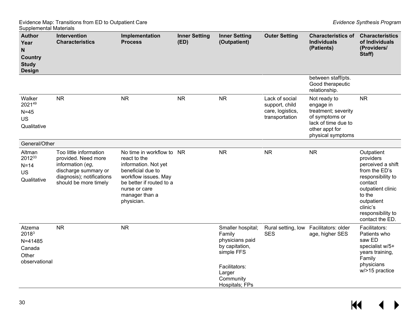| ouppionioniai matonaio<br><b>Author</b><br>Year<br>N<br><b>Country</b><br><b>Study</b><br><b>Design</b> | Intervention<br><b>Characteristics</b>                                                                                                          | Implementation<br><b>Process</b>                                                                                                                                                            | <b>Inner Setting</b><br>(ED) | <b>Inner Setting</b><br>(Outpatient)                                                                                                     | <b>Outer Setting</b>                                                   | <b>Characteristics of</b><br><b>Individuals</b><br>(Patients)                                                                    | <b>Characteristics</b><br>of Individuals<br>(Providers/<br>Staff)                                                                                                                              |
|---------------------------------------------------------------------------------------------------------|-------------------------------------------------------------------------------------------------------------------------------------------------|---------------------------------------------------------------------------------------------------------------------------------------------------------------------------------------------|------------------------------|------------------------------------------------------------------------------------------------------------------------------------------|------------------------------------------------------------------------|----------------------------------------------------------------------------------------------------------------------------------|------------------------------------------------------------------------------------------------------------------------------------------------------------------------------------------------|
|                                                                                                         |                                                                                                                                                 |                                                                                                                                                                                             |                              |                                                                                                                                          |                                                                        | between staff/pts.<br>Good therapeutic<br>relationship.                                                                          |                                                                                                                                                                                                |
| Walker<br>202149<br>$N=45$<br>US<br>Qualitative                                                         | <b>NR</b>                                                                                                                                       | <b>NR</b>                                                                                                                                                                                   | <b>NR</b>                    | <b>NR</b>                                                                                                                                | Lack of social<br>support, child<br>care, logistics,<br>transportation | Not ready to<br>engage in<br>treatment; severity<br>of symptoms or<br>lack of time due to<br>other appt for<br>physical symptoms | <b>NR</b>                                                                                                                                                                                      |
| General/Other                                                                                           |                                                                                                                                                 |                                                                                                                                                                                             |                              |                                                                                                                                          |                                                                        |                                                                                                                                  |                                                                                                                                                                                                |
| Altman<br>201233<br>$N=14$<br><b>US</b><br>Qualitative                                                  | Too little information<br>provided. Need more<br>information (eg,<br>discharge summary or<br>diagnosis); notifications<br>should be more timely | No time in workflow to NR<br>react to the<br>information. Not yet<br>beneficial due to<br>workflow issues. May<br>be better if routed to a<br>nurse or care<br>manager than a<br>physician. |                              | <b>NR</b>                                                                                                                                | <b>NR</b>                                                              | <b>NR</b>                                                                                                                        | Outpatient<br>providers<br>perceived a shift<br>from the ED's<br>responsibility to<br>contact<br>outpatient clinic<br>to the<br>outpatient<br>clinic's<br>responsibility to<br>contact the ED. |
| Atzema<br>20183<br>$N = 41485$<br>Canada<br>Other<br>observational                                      | <b>NR</b>                                                                                                                                       | <b>NR</b>                                                                                                                                                                                   |                              | Smaller hospital;<br>Family<br>physicians paid<br>by capitation,<br>simple FFS<br>Facilitators:<br>Larger<br>Community<br>Hospitals; FPs | Rural setting, low<br><b>SES</b>                                       | Facilitators: older<br>age, higher SES                                                                                           | Facilitators:<br>Patients who<br>saw ED<br>specialist w/5+<br>years training,<br>Family<br>physicians<br>w/>15 practice                                                                        |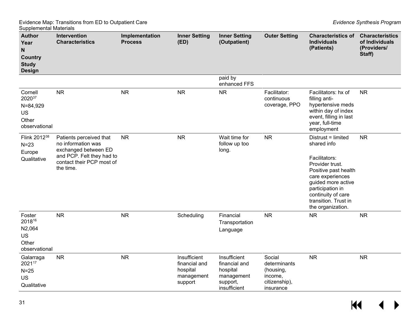| ouppionioniai matonais<br>Author<br>Year<br>N<br><b>Country</b><br><b>Study</b><br><b>Design</b> | Intervention<br><b>Characteristics</b>                                                                                                       | Implementation<br><b>Process</b> | <b>Inner Setting</b><br>(ED)                                       | <b>Inner Setting</b><br>(Outpatient)                                                | <b>Outer Setting</b>                                                         | <b>Characteristics of</b><br><b>Individuals</b><br>(Patients)                                                                                                                                                                  | <b>Characteristics</b><br>of Individuals<br>(Providers/<br>Staff) |
|--------------------------------------------------------------------------------------------------|----------------------------------------------------------------------------------------------------------------------------------------------|----------------------------------|--------------------------------------------------------------------|-------------------------------------------------------------------------------------|------------------------------------------------------------------------------|--------------------------------------------------------------------------------------------------------------------------------------------------------------------------------------------------------------------------------|-------------------------------------------------------------------|
|                                                                                                  |                                                                                                                                              |                                  |                                                                    | paid by<br>enhanced FFS                                                             |                                                                              |                                                                                                                                                                                                                                |                                                                   |
| Cornell<br>202037<br>$N = 84,929$<br>US<br>Other<br>observational                                | <b>NR</b>                                                                                                                                    | <b>NR</b>                        | <b>NR</b>                                                          | <b>NR</b>                                                                           | Facilitator:<br>continuous<br>coverage, PPO                                  | Facilitators: hx of<br>filling anti-<br>hypertensive meds<br>within day of index<br>event, filling in last<br>year, full-time<br>employment                                                                                    | <b>NR</b>                                                         |
| Flink 2012 <sup>38</sup><br>$N = 23$<br>Europe<br>Qualitative                                    | Patients perceived that<br>no information was<br>exchanged between ED<br>and PCP. Felt they had to<br>contact their PCP most of<br>the time. | <b>NR</b>                        | <b>NR</b>                                                          | Wait time for<br>follow up too<br>long.                                             | <b>NR</b>                                                                    | Distrust = limited<br>shared info<br>Facilitators:<br>Provider trust.<br>Positive past health<br>care experiences<br>guided more active<br>participation in<br>continuity of care<br>transition. Trust in<br>the organization. | <b>NR</b>                                                         |
| Foster<br>201816<br>N2,064<br><b>US</b><br>Other<br>observational                                | <b>NR</b>                                                                                                                                    | <b>NR</b>                        | Scheduling                                                         | Financial<br>Transportation<br>Language                                             | <b>NR</b>                                                                    | <b>NR</b>                                                                                                                                                                                                                      | <b>NR</b>                                                         |
| Galarraga<br>202117<br>$N=25$<br>US<br>Qualitative                                               | <b>NR</b>                                                                                                                                    | <b>NR</b>                        | Insufficient<br>financial and<br>hospital<br>management<br>support | Insufficient<br>financial and<br>hospital<br>management<br>support,<br>insufficient | Social<br>determinants<br>(housing,<br>income,<br>citizenship),<br>insurance | <b>NR</b>                                                                                                                                                                                                                      | <b>NR</b>                                                         |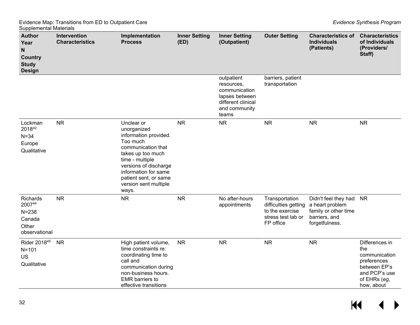| <b>Author</b><br>Year<br>N<br><b>Country</b><br><b>Study</b><br><b>Design</b> | Intervention<br><b>Characteristics</b> | Implementation<br><b>Process</b>                                                                                                                                                                                                         | <b>Inner Setting</b><br>(ED) | <b>Inner Setting</b><br>(Outpatient)                                                                        | <b>Outer Setting</b>                                                                         | <b>Characteristics of</b><br><b>Individuals</b><br>(Patients)                                      | <b>Characteristics</b><br>of Individuals<br>(Providers/<br>Staff)                                                    |
|-------------------------------------------------------------------------------|----------------------------------------|------------------------------------------------------------------------------------------------------------------------------------------------------------------------------------------------------------------------------------------|------------------------------|-------------------------------------------------------------------------------------------------------------|----------------------------------------------------------------------------------------------|----------------------------------------------------------------------------------------------------|----------------------------------------------------------------------------------------------------------------------|
|                                                                               |                                        |                                                                                                                                                                                                                                          |                              | outpatient<br>resources,<br>communication<br>lapses between<br>different clinical<br>and community<br>teams | barriers, patient<br>transportation                                                          |                                                                                                    |                                                                                                                      |
| Lockman<br>201842<br>$N = 34$<br>Europe<br>Qualitative                        | <b>NR</b>                              | Unclear or<br>unorganized<br>information provided.<br>Too much<br>communication that<br>takes up too much<br>time - multiple<br>versions of discharge<br>information for same<br>patient sent, or same<br>version sent multiple<br>ways. | <b>NR</b>                    | <b>NR</b>                                                                                                   | <b>NR</b>                                                                                    | <b>NR</b>                                                                                          | <b>NR</b>                                                                                                            |
| Richards<br>200744<br>$N = 238$<br>Canada<br>Other<br>observational           | <b>NR</b>                              | <b>NR</b>                                                                                                                                                                                                                                | <b>NR</b>                    | No after-hours<br>appointments                                                                              | Transportation<br>difficulties getting<br>to the exercise<br>stress test lab or<br>FP office | Didn't feel they had<br>a heart problem<br>family or other time<br>barriers, and<br>forgetfulness. | <b>NR</b>                                                                                                            |
| Rider 201845<br>$N = 101$<br><b>US</b><br>Qualitative                         | <b>NR</b>                              | High patient volume,<br>time constraints re:<br>coordinating time to<br>call and<br>communication during<br>non-business hours.<br><b>EMR</b> barriers to<br>effective transitions                                                       | <b>NR</b>                    | <b>NR</b>                                                                                                   | <b>NR</b>                                                                                    | <b>NR</b>                                                                                          | Differences in<br>the<br>communication<br>preferences<br>between EP's<br>and PCP's use<br>of EHRs (eg,<br>how, about |

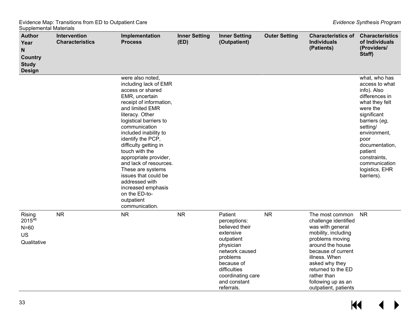| ,,,,,,,,,,,,,<br><b>Author</b><br>Year<br>N<br><b>Country</b><br><b>Study</b><br><b>Design</b> | Intervention<br><b>Characteristics</b> | Implementation<br><b>Process</b>                                                                                                                                                                                                                                                                                                                                                                                                                                              | <b>Inner Setting</b><br>(ED) | <b>Inner Setting</b><br>(Outpatient)                                                                                                                                                             | <b>Outer Setting</b> | <b>Characteristics of</b><br><b>Individuals</b><br>(Patients)                                                                                                                                                                                                         | <b>Characteristics</b><br>of Individuals<br>(Providers/<br>Staff)                                                                                                                                                                                                |
|------------------------------------------------------------------------------------------------|----------------------------------------|-------------------------------------------------------------------------------------------------------------------------------------------------------------------------------------------------------------------------------------------------------------------------------------------------------------------------------------------------------------------------------------------------------------------------------------------------------------------------------|------------------------------|--------------------------------------------------------------------------------------------------------------------------------------------------------------------------------------------------|----------------------|-----------------------------------------------------------------------------------------------------------------------------------------------------------------------------------------------------------------------------------------------------------------------|------------------------------------------------------------------------------------------------------------------------------------------------------------------------------------------------------------------------------------------------------------------|
|                                                                                                |                                        | were also noted,<br>including lack of EMR<br>access or shared<br>EMR, uncertain<br>receipt of information,<br>and limited EMR<br>literacy. Other<br>logistical barriers to<br>communication<br>included inability to<br>identify the PCP,<br>difficulty getting in<br>touch with the<br>appropriate provider,<br>and lack of resources.<br>These are systems<br>issues that could be<br>addressed with<br>increased emphasis<br>on the ED-to-<br>outpatient<br>communication. |                              |                                                                                                                                                                                                  |                      |                                                                                                                                                                                                                                                                       | what, who has<br>access to what<br>info). Also<br>differences in<br>what they felt<br>were the<br>significant<br>barriers (eg,<br>setting/<br>environment,<br>poor<br>documentation,<br>patient<br>constraints,<br>communication<br>logistics, EHR<br>barriers). |
| Rising<br>201546<br>$N=60$<br><b>US</b><br>Qualitative                                         | <b>NR</b>                              | <b>NR</b>                                                                                                                                                                                                                                                                                                                                                                                                                                                                     | <b>NR</b>                    | Patient<br>perceptions:<br>believed their<br>extensive<br>outpatient<br>physician<br>network caused<br>problems<br>because of<br>difficulties<br>coordinating care<br>and constant<br>referrals. | <b>NR</b>            | The most common<br>challenge identified<br>was with general<br>mobility, including<br>problems moving<br>around the house<br>because of current<br>illness. When<br>asked why they<br>returned to the ED<br>rather than<br>following up as an<br>outpatient, patients | <b>NR</b>                                                                                                                                                                                                                                                        |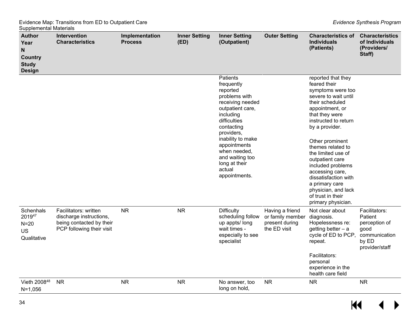| .<br><b>Author</b><br>Year<br>$\mathsf{N}$<br><b>Country</b><br><b>Study</b><br><b>Design</b> | Intervention<br><b>Characteristics</b>                                                                    | Implementation<br><b>Process</b> | <b>Inner Setting</b><br>(ED) | <b>Inner Setting</b><br>(Outpatient)                                                                                                                                                                                                                                     | <b>Outer Setting</b>                                                  | <b>Characteristics of</b><br><b>Individuals</b><br>(Patients)                                                                                                                                                                                                                                                                                                                                                          | <b>Characteristics</b><br>of Individuals<br>(Providers/<br>Staff)                             |
|-----------------------------------------------------------------------------------------------|-----------------------------------------------------------------------------------------------------------|----------------------------------|------------------------------|--------------------------------------------------------------------------------------------------------------------------------------------------------------------------------------------------------------------------------------------------------------------------|-----------------------------------------------------------------------|------------------------------------------------------------------------------------------------------------------------------------------------------------------------------------------------------------------------------------------------------------------------------------------------------------------------------------------------------------------------------------------------------------------------|-----------------------------------------------------------------------------------------------|
|                                                                                               |                                                                                                           |                                  |                              | Patients<br>frequently<br>reported<br>problems with<br>receiving needed<br>outpatient care,<br>including<br>difficulties<br>contacting<br>providers,<br>inability to make<br>appointments<br>when needed,<br>and waiting too<br>long at their<br>actual<br>appointments. |                                                                       | reported that they<br>feared their<br>symptoms were too<br>severe to wait until<br>their scheduled<br>appointment, or<br>that they were<br>instructed to return<br>by a provider.<br>Other prominent<br>themes related to<br>the limited use of<br>outpatient care<br>included problems<br>accessing care,<br>dissatisfaction with<br>a primary care<br>physician, and lack<br>of trust in their<br>primary physician. |                                                                                               |
| Schenhals<br>201947<br>$N=20$<br><b>US</b><br>Qualitative                                     | Facilitators: written<br>discharge instructions,<br>being contacted by their<br>PCP following their visit | <b>NR</b>                        | <b>NR</b>                    | <b>Difficulty</b><br>scheduling follow<br>up appts/ long<br>wait times -<br>especially to see<br>specialist                                                                                                                                                              | Having a friend<br>or family member<br>present during<br>the ED visit | Not clear about<br>diagnosis.<br>Hopelessness re:<br>getting better $- a$<br>cycle of ED to PCP,<br>repeat.<br>Facilitators:<br>personal<br>experience in the<br>health care field                                                                                                                                                                                                                                     | Facilitators:<br>Patient<br>perception of<br>good<br>communication<br>by ED<br>provider/staff |
| Vieth 200848<br>$N = 1,056$                                                                   | <b>NR</b>                                                                                                 | <b>NR</b>                        | <b>NR</b>                    | No answer, too<br>long on hold,                                                                                                                                                                                                                                          | <b>NR</b>                                                             | <b>NR</b>                                                                                                                                                                                                                                                                                                                                                                                                              | <b>NR</b>                                                                                     |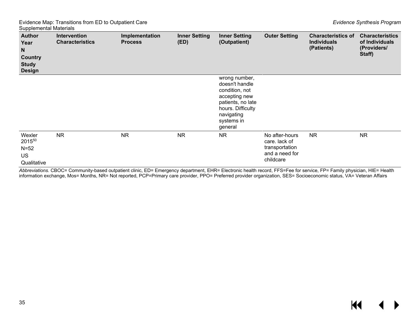| <b>Author</b><br>Year<br>N<br><b>Country</b><br><b>Study</b><br><b>Design</b> | <b>Intervention</b><br><b>Characteristics</b> | Implementation<br><b>Process</b> | <b>Inner Setting</b><br>(ED) | <b>Inner Setting</b><br>(Outpatient)                                                                                                                | <b>Outer Setting</b>                                                             | <b>Characteristics of</b><br><b>Individuals</b><br>(Patients) | <b>Characteristics</b><br>of Individuals<br>(Providers/<br>Staff) |
|-------------------------------------------------------------------------------|-----------------------------------------------|----------------------------------|------------------------------|-----------------------------------------------------------------------------------------------------------------------------------------------------|----------------------------------------------------------------------------------|---------------------------------------------------------------|-------------------------------------------------------------------|
|                                                                               |                                               |                                  |                              | wrong number,<br>doesn't handle<br>condition, not<br>accepting new<br>patients, no late<br>hours. Difficulty<br>navigating<br>systems in<br>general |                                                                                  |                                                               |                                                                   |
| Wexler<br>201550<br>$N=52$<br><b>US</b><br>Qualitative                        | <b>NR</b>                                     | <b>NR</b>                        | <b>NR</b>                    | <b>NR</b>                                                                                                                                           | No after-hours<br>care. lack of<br>transportation<br>and a need for<br>childcare | <b>NR</b>                                                     | <b>NR</b>                                                         |

*Abbreviations.* CBOC= Community-based outpatient clinic, ED= Emergency department, EHR= Electronic health record, FFS=Fee for service, FP= Family physician, HIE= Health information exchange, Mos= Months, NR= Not reported, PCP=Primary care provider, PPO= Preferred provider organization, SES= Socioeconomic status, VA= Veteran Affairs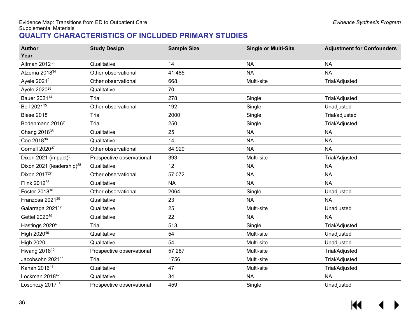## **QUALITY CHARACTERISTICS OF INCLUDED PRIMARY STUDIES**

<span id="page-37-0"></span>

| <b>Author</b><br>Year                 | <b>Study Design</b>       | <b>Sample Size</b> | <b>Single or Multi-Site</b> | <b>Adjustment for Confounders</b> |
|---------------------------------------|---------------------------|--------------------|-----------------------------|-----------------------------------|
| Altman 201233                         | Qualitative               | 14                 | <b>NA</b>                   | <b>NA</b>                         |
| Atzema 2018 <sup>34</sup>             | Other observational       | 41,485             | <b>NA</b>                   | <b>NA</b>                         |
| Ayele 2021 <sup>2</sup>               | Other observational       | 668                | Multi-site                  | <b>Trial/Adjusted</b>             |
| Ayele 2020 <sup>26</sup>              | Qualitative               | 70                 |                             |                                   |
| Bauer 2021 <sup>14</sup>              | Trial                     | 278                | Single                      | Trial/Adjusted                    |
| Bell 2021 <sup>15</sup>               | Other observational       | 192                | Single                      | Unadjusted                        |
| Biese 2018 <sup>9</sup>               | Trial                     | 2000               | Single                      | Trial/adjusted                    |
| Bodenmann 20167                       | Trial                     | 250                | Single                      | Trial/Adjusted                    |
| Chang 2018 <sup>35</sup>              | Qualitative               | 25                 | <b>NA</b>                   | <b>NA</b>                         |
| Coe 2018 <sup>36</sup>                | Qualitative               | 14                 | <b>NA</b>                   | <b>NA</b>                         |
| Cornell 202037                        | Other observational       | 84,929             | <b>NA</b>                   | <b>NA</b>                         |
| Dixon 2021 (impact) <sup>3</sup>      | Prospective observational | 393                | Multi-site                  | Trial/Adjusted                    |
| Dixon 2021 (leadership) <sup>28</sup> | Qualitative               | 12                 | <b>NA</b>                   | <b>NA</b>                         |
| Dixon 2017 <sup>27</sup>              | Other observational       | 57,072             | <b>NA</b>                   | <b>NA</b>                         |
| Flink 2012 <sup>38</sup>              | Qualitative               | <b>NA</b>          | <b>NA</b>                   | <b>NA</b>                         |
| Foster 2018 <sup>16</sup>             | Other observational       | 2064               | Single                      | Unadjusted                        |
| Franzosa 2021 <sup>29</sup>           | Qualitative               | 23                 | <b>NA</b>                   | <b>NA</b>                         |
| Galarraga 2021 <sup>17</sup>          | Qualitative               | 25                 | Multi-site                  | Unadjusted                        |
| Gettel 2020 <sup>39</sup>             | Qualitative               | 22                 | <b>NA</b>                   | <b>NA</b>                         |
| Hastings 2020 <sup>4</sup>            | Trial                     | 513                | Single                      | <b>Trial/Adjusted</b>             |
| High 202040                           | Qualitative               | 54                 | Multi-site                  | Unadjusted                        |
| <b>High 2020</b>                      | Qualitative               | 54                 | Multi-site                  | Unadjusted                        |
| Hwang 2018 <sup>10</sup>              | Prospective observational | 57,287             | Multi-site                  | <b>Trial/Adjusted</b>             |
| Jacobsohn 2021 <sup>11</sup>          | Trial                     | 1756               | Multi-site                  | <b>Trial/Adjusted</b>             |
| Kahan 201641                          | Qualitative               | 47                 | Multi-site                  | Trial/Adjusted                    |
| Lockman 2018 <sup>42</sup>            | Qualitative               | 34                 | <b>NA</b>                   | <b>NA</b>                         |
| Losonczy 2017 <sup>18</sup>           | Prospective observational | 459                | Single                      | Unadjusted                        |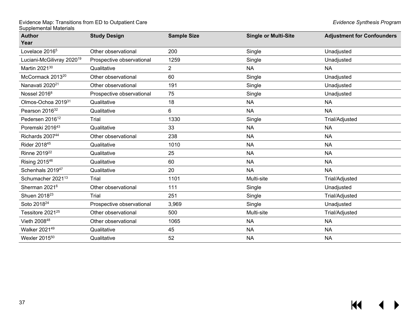| <b>Author</b>                         | <b>Study Design</b>       | <b>Sample Size</b> | <b>Single or Multi-Site</b> | <b>Adjustment for Confounders</b> |
|---------------------------------------|---------------------------|--------------------|-----------------------------|-----------------------------------|
| Year                                  |                           |                    |                             |                                   |
| Lovelace 2016 <sup>5</sup>            | Other observational       | 200                | Single                      | Unadjusted                        |
| Luciani-McGilivray 2020 <sup>19</sup> | Prospective observational | 1259               | Single                      | Unadjusted                        |
| Martin 2021 <sup>30</sup>             | Qualitative               | 2                  | <b>NA</b>                   | <b>NA</b>                         |
| McCormack 2013 <sup>20</sup>          | Other observational       | 60                 | Single                      | Unadjusted                        |
| Nanavati 2020 <sup>21</sup>           | Other observational       | 191                | Single                      | Unadjusted                        |
| Nossel 2016 <sup>8</sup>              | Prospective observational | 75                 | Single                      | Unadjusted                        |
| Olmos-Ochoa 201931                    | Qualitative               | 18                 | <b>NA</b>                   | <b>NA</b>                         |
| Pearson 2016 <sup>32</sup>            | Qualitative               | 6                  | <b>NA</b>                   | <b>NA</b>                         |
| Pedersen 2016 <sup>12</sup>           | Trial                     | 1330               | Single                      | Trial/Adjusted                    |
| Poremski 2016 <sup>43</sup>           | Qualitative               | 33                 | <b>NA</b>                   | <b>NA</b>                         |
| Richards 200744                       | Other observational       | 238                | <b>NA</b>                   | <b>NA</b>                         |
| Rider 201845                          | Qualitative               | 1010               | <b>NA</b>                   | <b>NA</b>                         |
| Rinne 2019 <sup>22</sup>              | Qualitative               | 25                 | <b>NA</b>                   | <b>NA</b>                         |
| Rising 201546                         | Qualitative               | 60                 | <b>NA</b>                   | <b>NA</b>                         |
| Schenhals 2019 <sup>47</sup>          | Qualitative               | 20                 | <b>NA</b>                   | <b>NA</b>                         |
| Schumacher 2021 <sup>13</sup>         | Trial                     | 1101               | Multi-site                  | <b>Trial/Adjusted</b>             |
| Sherman 2021 <sup>6</sup>             | Other observational       | 111                | Single                      | Unadjusted                        |
| Shuen 2018 <sup>23</sup>              | Trial                     | 251                | Single                      | <b>Trial/Adjusted</b>             |
| Soto 2018 <sup>24</sup>               | Prospective observational | 3,969              | Single                      | Unadjusted                        |
| Tessitore 2021 <sup>25</sup>          | Other observational       | 500                | Multi-site                  | Trial/Adjusted                    |
| Vieth 200848                          | Other observational       | 1065               | <b>NA</b>                   | <b>NA</b>                         |
| Walker 202149                         | Qualitative               | 45                 | <b>NA</b>                   | <b>NA</b>                         |
| Wexler 2015 <sup>50</sup>             | Qualitative               | 52                 | <b>NA</b>                   | <b>NA</b>                         |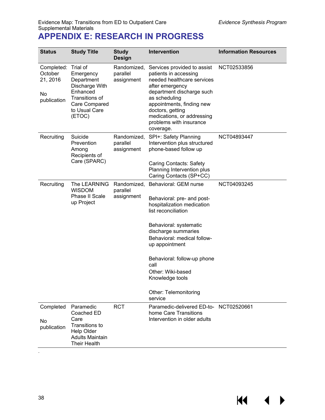KI

## <span id="page-39-0"></span>Evidence Map: Transitions from ED to Outpatient Care *Evidence Synthesis Program* Supplemental Materials **APPENDIX E: RESEARCH IN PROGRESS**

| <b>Status</b>                                          | <b>Study Title</b>                                                                                                              | <b>Study</b><br><b>Design</b>         | Intervention                                                                                                                                                                                                                                                                                                                              | <b>Information Resources</b> |
|--------------------------------------------------------|---------------------------------------------------------------------------------------------------------------------------------|---------------------------------------|-------------------------------------------------------------------------------------------------------------------------------------------------------------------------------------------------------------------------------------------------------------------------------------------------------------------------------------------|------------------------------|
| Completed:<br>October<br>21, 2016<br>No<br>publication | Trial of<br>Emergency<br>Department<br>Discharge With<br>Enhanced<br>Transitions of<br>Care Compared<br>to Usual Care<br>(ETOC) | Randomized,<br>parallel<br>assignment | Services provided to assist<br>patients in accessing<br>needed healthcare services<br>after emergency<br>department discharge such<br>as scheduling<br>appointments, finding new<br>doctors, getting<br>medications, or addressing<br>problems with insurance<br>coverage.                                                                | NCT02533856                  |
| Recruiting                                             | Suicide<br>Prevention<br>Among<br>Recipients of<br>Care (SPARC)                                                                 | Randomized,<br>parallel<br>assignment | SPI+: Safety Planning<br>Intervention plus structured<br>phone-based follow up<br><b>Caring Contacts: Safety</b><br>Planning Intervention plus<br>Caring Contacts (SP+CC)                                                                                                                                                                 | NCT04893447                  |
| Recruiting                                             | The LEARNING<br><b>WISDOM</b><br>Phase II Scale<br>up Project                                                                   | parallel<br>assignment                | Randomized, Behavioral: GEM nurse<br>Behavioral: pre- and post-<br>hospitalization medication<br>list reconciliation<br>Behavioral: systematic<br>discharge summaries<br>Behavioral: medical follow-<br>up appointment<br>Behavioral: follow-up phone<br>call<br>Other: Wiki-based<br>Knowledge tools<br>Other: Telemonitoring<br>service | NCT04093245                  |
| Completed<br>No<br>publication                         | Paramedic<br>Coached ED<br>Care<br>Transitions to<br><b>Help Older</b><br><b>Adults Maintain</b><br><b>Their Health</b>         | <b>RCT</b>                            | Paramedic-delivered ED-to- NCT02520661<br>home Care Transitions<br>Intervention in older adults                                                                                                                                                                                                                                           |                              |

.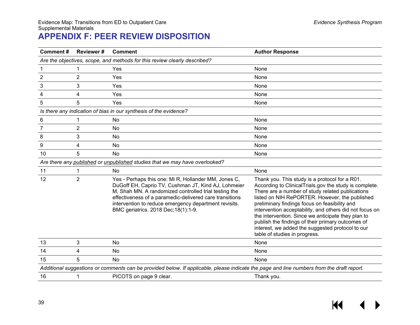# **APPENDIX F: PEER REVIEW DISPOSITION**

<span id="page-40-0"></span>

| <b>Comment#</b> | <b>Reviewer#</b>                                                          | <b>Comment</b>                                                                                                                                                                                                                                                                                                                    | <b>Author Response</b>                                                                                                                                                                                                                                                                                                                                                                                                                                                                                                     |  |  |  |  |
|-----------------|---------------------------------------------------------------------------|-----------------------------------------------------------------------------------------------------------------------------------------------------------------------------------------------------------------------------------------------------------------------------------------------------------------------------------|----------------------------------------------------------------------------------------------------------------------------------------------------------------------------------------------------------------------------------------------------------------------------------------------------------------------------------------------------------------------------------------------------------------------------------------------------------------------------------------------------------------------------|--|--|--|--|
|                 | Are the objectives, scope, and methods for this review clearly described? |                                                                                                                                                                                                                                                                                                                                   |                                                                                                                                                                                                                                                                                                                                                                                                                                                                                                                            |  |  |  |  |
|                 | 1                                                                         | Yes                                                                                                                                                                                                                                                                                                                               | None                                                                                                                                                                                                                                                                                                                                                                                                                                                                                                                       |  |  |  |  |
| $\overline{2}$  | 2                                                                         | Yes                                                                                                                                                                                                                                                                                                                               | None                                                                                                                                                                                                                                                                                                                                                                                                                                                                                                                       |  |  |  |  |
| 3               | 3                                                                         | Yes                                                                                                                                                                                                                                                                                                                               | None                                                                                                                                                                                                                                                                                                                                                                                                                                                                                                                       |  |  |  |  |
| 4               | 4                                                                         | Yes                                                                                                                                                                                                                                                                                                                               | None                                                                                                                                                                                                                                                                                                                                                                                                                                                                                                                       |  |  |  |  |
| 5               | 5                                                                         | Yes                                                                                                                                                                                                                                                                                                                               | None                                                                                                                                                                                                                                                                                                                                                                                                                                                                                                                       |  |  |  |  |
|                 |                                                                           | Is there any indication of bias in our synthesis of the evidence?                                                                                                                                                                                                                                                                 |                                                                                                                                                                                                                                                                                                                                                                                                                                                                                                                            |  |  |  |  |
| 6               | 1                                                                         | No                                                                                                                                                                                                                                                                                                                                | None                                                                                                                                                                                                                                                                                                                                                                                                                                                                                                                       |  |  |  |  |
| 7               | $\overline{2}$                                                            | No                                                                                                                                                                                                                                                                                                                                | None                                                                                                                                                                                                                                                                                                                                                                                                                                                                                                                       |  |  |  |  |
| 8               | 3                                                                         | No                                                                                                                                                                                                                                                                                                                                | None                                                                                                                                                                                                                                                                                                                                                                                                                                                                                                                       |  |  |  |  |
| 9               | 4                                                                         | No                                                                                                                                                                                                                                                                                                                                | None                                                                                                                                                                                                                                                                                                                                                                                                                                                                                                                       |  |  |  |  |
| 10              | 5                                                                         | No                                                                                                                                                                                                                                                                                                                                | None                                                                                                                                                                                                                                                                                                                                                                                                                                                                                                                       |  |  |  |  |
|                 |                                                                           | Are there any published or unpublished studies that we may have overlooked?                                                                                                                                                                                                                                                       |                                                                                                                                                                                                                                                                                                                                                                                                                                                                                                                            |  |  |  |  |
| 11              | 1                                                                         | No.                                                                                                                                                                                                                                                                                                                               | None                                                                                                                                                                                                                                                                                                                                                                                                                                                                                                                       |  |  |  |  |
| 12              | 2                                                                         | Yes - Perhaps this one: Mi R, Hollander MM, Jones C,<br>DuGoff EH, Caprio TV, Cushman JT, Kind AJ, Lohmeier<br>M, Shah MN. A randomized controlled trial testing the<br>effectiveness of a paramedic-delivered care transitions<br>intervention to reduce emergency department revisits.<br>BMC geriatrics. 2018 Dec; 18(1): 1-9. | Thank you. This study is a protocol for a R01.<br>According to ClinicalTrials.gov the study is complete.<br>There are a number of study related publications<br>listed on NIH RePORTER. However, the published<br>preliminary findings focus on feasibility and<br>intervention acceptability, and others did not focus on<br>the intervention. Since we anticipate they plan to<br>publish the findings of their primary outcomes of<br>interest, we added the suggested protocol to our<br>table of studies in progress. |  |  |  |  |
| 13              | 3                                                                         | <b>No</b>                                                                                                                                                                                                                                                                                                                         | None                                                                                                                                                                                                                                                                                                                                                                                                                                                                                                                       |  |  |  |  |
| 14              | 4                                                                         | No.                                                                                                                                                                                                                                                                                                                               | None                                                                                                                                                                                                                                                                                                                                                                                                                                                                                                                       |  |  |  |  |
| 15              | 5                                                                         | No                                                                                                                                                                                                                                                                                                                                | None                                                                                                                                                                                                                                                                                                                                                                                                                                                                                                                       |  |  |  |  |
|                 |                                                                           | Additional suggestions or comments can be provided below. If applicable, please indicate the page and line numbers from the draft report.                                                                                                                                                                                         |                                                                                                                                                                                                                                                                                                                                                                                                                                                                                                                            |  |  |  |  |
| 16              |                                                                           | PICOTS on page 9 clear.                                                                                                                                                                                                                                                                                                           | Thank you.                                                                                                                                                                                                                                                                                                                                                                                                                                                                                                                 |  |  |  |  |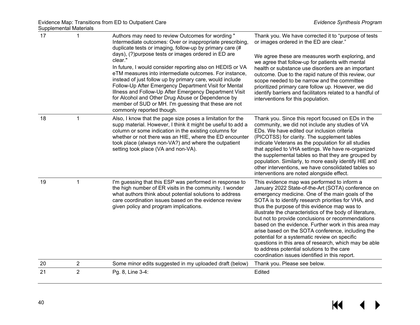| 17 | $\mathbf{1}$   | Authors may need to review Outcomes for wording "<br>Intermediate outcomes: Over or inappropriate prescribing,<br>duplicate tests or imaging, follow-up by primary care (#<br>days), (?) purpose tests or images ordered in ED are<br>clear."<br>In future, I would consider reporting also on HEDIS or VA<br>eTM measures into intermediate outcomes. For instance,<br>instead of just follow up by primary care, would include<br>Follow-Up After Emergency Department Visit for Mental<br>Illness and Follow-Up After Emergency Department Visit<br>for Alcohol and Other Drug Abuse or Dependence by<br>member of SUD or MH. I'm guessing that these are not<br>commonly reported though. | Thank you. We have corrected it to "purpose of tests<br>or images ordered in the ED are clear."<br>We agree these are measures worth exploring, and<br>we agree that follow-up for patients with mental<br>health or substance use disorders are an important<br>outcome. Due to the rapid nature of this review, our<br>scope needed to be narrow and the committee<br>prioritized primary care follow up. However, we did<br>identify barriers and facilitators related to a handful of<br>interventions for this population.                                                                                                                                                                        |
|----|----------------|-----------------------------------------------------------------------------------------------------------------------------------------------------------------------------------------------------------------------------------------------------------------------------------------------------------------------------------------------------------------------------------------------------------------------------------------------------------------------------------------------------------------------------------------------------------------------------------------------------------------------------------------------------------------------------------------------|--------------------------------------------------------------------------------------------------------------------------------------------------------------------------------------------------------------------------------------------------------------------------------------------------------------------------------------------------------------------------------------------------------------------------------------------------------------------------------------------------------------------------------------------------------------------------------------------------------------------------------------------------------------------------------------------------------|
| 18 | $\mathbf{1}$   | Also, I know that the page size poses a limitation for the<br>supp material. However, I think it might be useful to add a<br>column or some indication in the existing columns for<br>whether or not there was an HIE, where the ED encounter<br>took place (always non-VA?) and where the outpatient<br>setting took place (VA and non-VA).                                                                                                                                                                                                                                                                                                                                                  | Thank you. Since this report focused on EDs in the<br>community, we did not include any studies of VA<br>EDs. We have edited our inclusion criteria<br>(PICOTSS) for clarity. The supplement tables<br>indicate Veterans as the population for all studies<br>that applied to VHA settings. We have re-organized<br>the supplemental tables so that they are grouped by<br>population. Similarly, to more easily identify HIE and<br>other interventions, we have consolidated tables so<br>interventions are noted alongside effect.                                                                                                                                                                  |
| 19 | 1              | I'm guessing that this ESP was performed in response to<br>the high number of ER visits in the community. I wonder<br>what authors think about potential solutions to address<br>care coordination issues based on the evidence review<br>given policy and program implications.                                                                                                                                                                                                                                                                                                                                                                                                              | This evidence map was performed to inform a<br>January 2022 State-of-the-Art (SOTA) conference on<br>emergency medicine. One of the main goals of the<br>SOTA is to identify research priorities for VHA, and<br>thus the purpose of this evidence map was to<br>illustrate the characteristics of the body of literature,<br>but not to provide conclusions or recommendations<br>based on the evidence. Further work in this area may<br>arise based on the SOTA conference, including the<br>potential for a systematic review on specific<br>questions in this area of research, which may be able<br>to address potential solutions to the care<br>coordination issues identified in this report. |
| 20 | $\overline{c}$ | Some minor edits suggested in my uploaded draft (below)                                                                                                                                                                                                                                                                                                                                                                                                                                                                                                                                                                                                                                       | Thank you. Please see below.                                                                                                                                                                                                                                                                                                                                                                                                                                                                                                                                                                                                                                                                           |
| 21 | $\overline{2}$ | Pg. 8, Line 3-4:                                                                                                                                                                                                                                                                                                                                                                                                                                                                                                                                                                                                                                                                              | Edited                                                                                                                                                                                                                                                                                                                                                                                                                                                                                                                                                                                                                                                                                                 |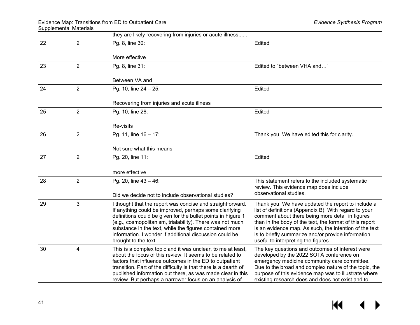|    |                | they are likely recovering from injuries or acute illness                                                                                                                                                                                                                                                                                                                                       |                                                                                                                                                                                                                                                                                                                                                                                   |
|----|----------------|-------------------------------------------------------------------------------------------------------------------------------------------------------------------------------------------------------------------------------------------------------------------------------------------------------------------------------------------------------------------------------------------------|-----------------------------------------------------------------------------------------------------------------------------------------------------------------------------------------------------------------------------------------------------------------------------------------------------------------------------------------------------------------------------------|
| 22 | $\overline{2}$ | Pg. 8, line 30:                                                                                                                                                                                                                                                                                                                                                                                 | Edited                                                                                                                                                                                                                                                                                                                                                                            |
|    |                | More effective                                                                                                                                                                                                                                                                                                                                                                                  |                                                                                                                                                                                                                                                                                                                                                                                   |
| 23 | $\overline{2}$ | Pg. 8, line 31:                                                                                                                                                                                                                                                                                                                                                                                 | Edited to "between VHA and"                                                                                                                                                                                                                                                                                                                                                       |
|    |                | Between VA and                                                                                                                                                                                                                                                                                                                                                                                  |                                                                                                                                                                                                                                                                                                                                                                                   |
| 24 | $\overline{2}$ | Pg. 10, line 24 - 25:                                                                                                                                                                                                                                                                                                                                                                           | Edited                                                                                                                                                                                                                                                                                                                                                                            |
|    |                | Recovering from injuries and acute illness                                                                                                                                                                                                                                                                                                                                                      |                                                                                                                                                                                                                                                                                                                                                                                   |
| 25 | $\overline{2}$ | Pg. 10, line 28:                                                                                                                                                                                                                                                                                                                                                                                | Edited                                                                                                                                                                                                                                                                                                                                                                            |
|    |                | Re-visits                                                                                                                                                                                                                                                                                                                                                                                       |                                                                                                                                                                                                                                                                                                                                                                                   |
| 26 | 2              | Pg. 11, line 16 - 17:                                                                                                                                                                                                                                                                                                                                                                           | Thank you. We have edited this for clarity.                                                                                                                                                                                                                                                                                                                                       |
|    |                | Not sure what this means                                                                                                                                                                                                                                                                                                                                                                        |                                                                                                                                                                                                                                                                                                                                                                                   |
| 27 | 2              | Pg. 20, line 11:                                                                                                                                                                                                                                                                                                                                                                                | Edited                                                                                                                                                                                                                                                                                                                                                                            |
|    |                | more effective                                                                                                                                                                                                                                                                                                                                                                                  |                                                                                                                                                                                                                                                                                                                                                                                   |
| 28 | $\overline{2}$ | Pg. 20, line 43 - 46:                                                                                                                                                                                                                                                                                                                                                                           | This statement refers to the included systematic<br>review. This evidence map does include                                                                                                                                                                                                                                                                                        |
|    |                | Did we decide not to include observational studies?                                                                                                                                                                                                                                                                                                                                             | observational studies.                                                                                                                                                                                                                                                                                                                                                            |
| 29 | 3              | I thought that the report was concise and straightforward.<br>If anything could be improved, perhaps some clarifying<br>definitions could be given for the bullet points in Figure 1<br>(e.g., cosmopolitanism, trialability). There was not much<br>substance in the text, while the figures contained more<br>information. I wonder if additional discussion could be<br>brought to the text. | Thank you. We have updated the report to include a<br>list of definitions (Appendix B). With regard to your<br>comment about there being more detail in figures<br>than in the body of the text, the format of this report<br>is an evidence map. As such, the intention of the text<br>is to briefly summarize and/or provide information<br>useful to interpreting the figures. |
| 30 | 4              | This is a complex topic and it was unclear, to me at least,<br>about the focus of this review. It seems to be related to<br>factors that influence outcomes in the ED to outpatient<br>transition. Part of the difficulty is that there is a dearth of<br>published information out there, as was made clear in this<br>review. But perhaps a narrower focus on an analysis of                  | The key questions and outcomes of interest were<br>developed by the 2022 SOTA conference on<br>emergency medicine community care committee.<br>Due to the broad and complex nature of the topic, the<br>purpose of this evidence map was to illustrate where<br>existing research does and does not exist and to                                                                  |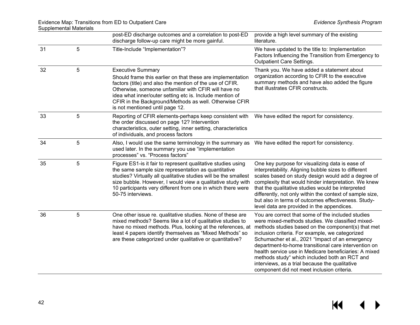|    |   | post-ED discharge outcomes and a correlation to post-ED<br>discharge follow-up care might be more gainful.                                                                                                                                                                                                                                                          | provide a high level summary of the existing<br>literature.                                                                                                                                                                                                                                                                                                                                                                                                                                                                         |
|----|---|---------------------------------------------------------------------------------------------------------------------------------------------------------------------------------------------------------------------------------------------------------------------------------------------------------------------------------------------------------------------|-------------------------------------------------------------------------------------------------------------------------------------------------------------------------------------------------------------------------------------------------------------------------------------------------------------------------------------------------------------------------------------------------------------------------------------------------------------------------------------------------------------------------------------|
| 31 | 5 | Title-Include "Implementation"?                                                                                                                                                                                                                                                                                                                                     | We have updated to the title to: Implementation<br>Factors Influencing the Transition from Emergency to<br><b>Outpatient Care Settings.</b>                                                                                                                                                                                                                                                                                                                                                                                         |
| 32 | 5 | <b>Executive Summary</b><br>Should frame this earlier on that these are implementation<br>factors (title) and also the mention of the use of CFIR.<br>Otherwise, someone unfamiliar with CFIR will have no<br>idea what inner/outer setting etc is. Include mention of<br>CFIR in the Background/Methods as well. Otherwise CFIR<br>is not mentioned until page 12. | Thank you. We have added a statement about<br>organization according to CFIR to the executive<br>summary methods and have also added the figure<br>that illustrates CFIR constructs.                                                                                                                                                                                                                                                                                                                                                |
| 33 | 5 | Reporting of CFIR elements-perhaps keep consistent with<br>the order discussed on page 12? Intervention<br>characteristics, outer setting, inner setting, characteristics<br>of individuals, and process factors                                                                                                                                                    | We have edited the report for consistency.                                                                                                                                                                                                                                                                                                                                                                                                                                                                                          |
| 34 | 5 | Also, I would use the same terminology in the summary as<br>used later. In the summary you use "implementation<br>processes" vs. "Process factors"                                                                                                                                                                                                                  | We have edited the report for consistency.                                                                                                                                                                                                                                                                                                                                                                                                                                                                                          |
| 35 | 5 | Figure ES1-is it fair to represent qualitative studies using<br>the same sample size representation as quantitative<br>studies? Virtually all qualitative studies will be the smallest<br>size bubble. However, I would view a qualitative study with<br>10 participants very different from one in which there were<br>50-75 interviews.                           | One key purpose for visualizing data is ease of<br>interpretability. Aligning bubble sizes to different<br>scales based on study design would add a degree of<br>complexity that would hinder interpretation. We knew<br>that the qualitative studies would be interpreted<br>differently, not only within the context of sample size,<br>but also in terms of outcomes effectiveness. Study-<br>level data are provided in the appendices.                                                                                         |
| 36 | 5 | One other issue re. qualitative studies. None of these are<br>mixed methods? Seems like a lot of qualitative studies to<br>have no mixed methods. Plus, looking at the references, at<br>least 4 papers identify themselves as "Mixed Methods" so<br>are these categorized under qualitative or quantitative?                                                       | You are correct that some of the included studies<br>were mixed-methods studies. We classified mixed-<br>methods studies based on the component(s) that met<br>inclusion criteria. For example, we categorized<br>Schumacher et al., 2021 "Impact of an emergency<br>department-to-home transitional care intervention on<br>health service use in Medicare beneficiaries: A mixed<br>methods study" which included both an RCT and<br>interviews, as a trial because the qualitative<br>component did not meet inclusion criteria. |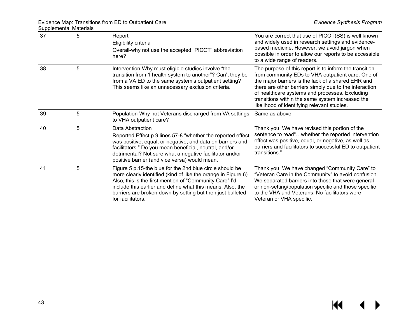| 37 | 5 | Report<br>Eligibility criteria<br>Overall-why not use the accepted "PICOT" abbreviation<br>here?                                                                                                                                                                                                                                       | You are correct that use of PICOT(SS) is well known<br>and widely used in research settings and evidence-<br>based medicine. However, we avoid jargon when<br>possible in order to allow our reports to be accessible<br>to a wide range of readers.                                                                                                                             |
|----|---|----------------------------------------------------------------------------------------------------------------------------------------------------------------------------------------------------------------------------------------------------------------------------------------------------------------------------------------|----------------------------------------------------------------------------------------------------------------------------------------------------------------------------------------------------------------------------------------------------------------------------------------------------------------------------------------------------------------------------------|
| 38 | 5 | Intervention-Why must eligible studies involve "the<br>transition from 1 health system to another"? Can't they be<br>from a VA ED to the same system's outpatient setting?<br>This seems like an unnecessary exclusion criteria.                                                                                                       | The purpose of this report is to inform the transition<br>from community EDs to VHA outpatient care. One of<br>the major barriers is the lack of a shared EHR and<br>there are other barriers simply due to the interaction<br>of healthcare systems and processes. Excluding<br>transitions within the same system increased the<br>likelihood of identifying relevant studies. |
| 39 | 5 | Population-Why not Veterans discharged from VA settings<br>to VHA outpatient care?                                                                                                                                                                                                                                                     | Same as above.                                                                                                                                                                                                                                                                                                                                                                   |
| 40 | 5 | Data Abstraction<br>Reported Effect p.9 lines 57-8 "whether the reported effect<br>was positive, equal, or negative, and data on barriers and<br>facilitators." Do you mean beneficial, neutral, and/or<br>detrimental? Not sure what a negative facilitator and/or<br>positive barrier (and vice versa) would mean.                   | Thank you. We have revised this portion of the<br>sentence to read"whether the reported intervention<br>effect was positive, equal, or negative, as well as<br>barriers and facilitators to successful ED to outpatient<br>transitions."                                                                                                                                         |
| 41 | 5 | Figure 5 p.15-the blue for the 2nd blue circle should be<br>more clearly identified (kind of like the orange in Figure 6).<br>Also, this is the first mention of "Community Care" I'd<br>include this earlier and define what this means. Also, the<br>barriers are broken down by setting but then just bulleted<br>for facilitators. | Thank you. We have changed "Community Care" to<br>"Veteran Care in the Community" to avoid confusion.<br>We separated barriers into those that were general<br>or non-setting/population specific and those specific<br>to the VHA and Veterans. No facilitators were<br>Veteran or VHA specific.                                                                                |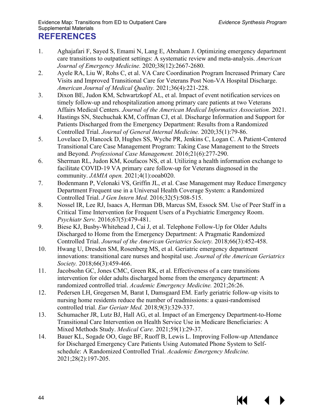- <span id="page-45-5"></span><span id="page-45-4"></span><span id="page-45-3"></span><span id="page-45-2"></span><span id="page-45-1"></span><span id="page-45-0"></span>1. Aghajafari F, Sayed S, Emami N, Lang E, Abraham J. Optimizing emergency department care transitions to outpatient settings: A systematic review and meta-analysis. *American Journal of Emergency Medicine.* 2020;38(12):2667-2680.
- <span id="page-45-6"></span>2. Ayele RA, Liu W, Rohs C, et al. VA Care Coordination Program Increased Primary Care Visits and Improved Transitional Care for Veterans Post Non-VA Hospital Discharge. *American Journal of Medical Quality.* 2021;36(4):221-228.
- <span id="page-45-7"></span>3. Dixon BE, Judon KM, Schwartzkopf AL, et al. Impact of event notification services on timely follow-up and rehospitalization among primary care patients at two Veterans Affairs Medical Centers. *Journal of the American Medical Informatics Association.* 2021.
- <span id="page-45-8"></span>4. Hastings SN, Stechuchak KM, Coffman CJ, et al. Discharge Information and Support for Patients Discharged from the Emergency Department: Results from a Randomized Controlled Trial. *Journal of General Internal Medicine.* 2020;35(1):79-86.
- <span id="page-45-9"></span>5. Lovelace D, Hancock D, Hughes SS, Wyche PR, Jenkins C, Logan C. A Patient-Centered Transitional Care Case Management Program: Taking Case Management to the Streets and Beyond. *Professional Case Management.* 2016;21(6):277-290.
- <span id="page-45-10"></span>6. Sherman RL, Judon KM, Koufacos NS, et al. Utilizing a health information exchange to facilitate COVID-19 VA primary care follow-up for Veterans diagnosed in the community. *JAMIA open.* 2021;4(1):ooab020.
- <span id="page-45-11"></span>7. Bodenmann P, Velonaki VS, Griffin JL, et al. Case Management may Reduce Emergency Department Frequent use in a Universal Health Coverage System: a Randomized Controlled Trial. *J Gen Intern Med.* 2016;32(5):508-515.
- <span id="page-45-12"></span>8. Nossel IR, Lee RJ, Isaacs A, Herman DB, Marcus SM, Essock SM. Use of Peer Staff in a Critical Time Intervention for Frequent Users of a Psychiatric Emergency Room. *Psychiatr Serv.* 2016;67(5):479-481.
- <span id="page-45-13"></span>9. Biese KJ, Busby-Whitehead J, Cai J, et al. Telephone Follow-Up for Older Adults Discharged to Home from the Emergency Department: A Pragmatic Randomized Controlled Trial. *Journal of the American Geriatrics Society.* 2018;66(3):452-458.
- <span id="page-45-14"></span>10. Hwang U, Dresden SM, Rosenberg MS, et al. Geriatric emergency department innovations: transitional care nurses and hospital use. *Journal of the American Geriatrics Society.* 2018;66(3):459-466.
- 11. Jacobsohn GC, Jones CMC, Green RK, et al. Effectiveness of a care transitions intervention for older adults discharged home from the emergency department: A randomized controlled trial. *Academic Emergency Medicine.* 2021;26:26.
- 12. Pedersen LH, Gregersen M, Barat I, Damsgaard EM. Early geriatric follow-up visits to nursing home residents reduce the number of readmissions: a quasi-randomised controlled trial. *Eur Geriatr Med.* 2018;9(3):329-337.
- 13. Schumacher JR, Lutz BJ, Hall AG, et al. Impact of an Emergency Department-to-Home Transitional Care Intervention on Health Service Use in Medicare Beneficiaries: A Mixed Methods Study. *Medical Care.* 2021;59(1):29-37.
- 14. Bauer KL, Sogade OO, Gage BF, Ruoff B, Lewis L. Improving Follow-up Attendance for Discharged Emergency Care Patients Using Automated Phone System to Selfschedule: A Randomized Controlled Trial. *Academic Emergency Medicine.*  2021;28(2):197-205.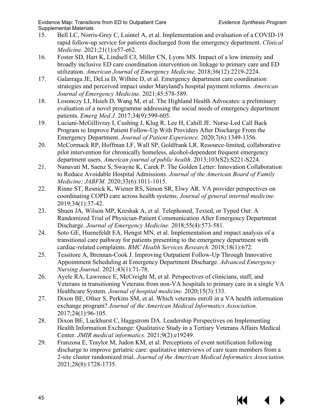- <span id="page-46-6"></span><span id="page-46-5"></span><span id="page-46-4"></span><span id="page-46-3"></span><span id="page-46-2"></span>15. Bell LC, Norris-Grey C, Luintel A, et al. Implementation and evaluation of a COVID-19 rapid follow-up service for patients discharged from the emergency department. *Clinical Medicine.* 2021;21(1):e57-e62.
- <span id="page-46-1"></span>16. Foster SD, Hart K, Lindsell CJ, Miller CN, Lyons MS. Impact of a low intensity and broadly inclusive ED care coordination intervention on linkage to primary care and ED utilization. *American Journal of Emergency Medicine.* 2018;36(12):2219-2224.
- <span id="page-46-7"></span>17. Galarraga JE, DeLia D, Wilhite D, et al. Emergency department care coordination strategies and perceived impact under Maryland's hospital payment reforms. *American Journal of Emergency Medicine.* 2021;45:578-589.
- <span id="page-46-0"></span>18. Losonczy LI, Hsieh D, Wang M, et al. The Highland Health Advocates: a preliminary evaluation of a novel programme addressing the social needs of emergency department patients. *Emerg Med J.* 2017;34(9):599-605.
- <span id="page-46-8"></span>19. Luciani-McGillivray I, Cushing J, Klug R, Lee H, Cahill JE. Nurse-Led Call Back Program to Improve Patient Follow-Up With Providers After Discharge From the Emergency Department. *Journal of Patient Experience.* 2020;7(6):1349-1356.
- <span id="page-46-9"></span>20. McCormack RP, Hoffman LF, Wall SP, Goldfrank LR. Resource-limited, collaborative pilot intervention for chronically homeless, alcohol-dependent frequent emergency department users. *American journal of public health.* 2013;103(S2):S221-S224.
- <span id="page-46-10"></span>21. Nanavati M, Saenz S, Swayne K, Carek P. The Golden Letter: Innovation Collaboration to Reduce Avoidable Hospital Admissions. *Journal of the American Board of Family Medicine: JABFM.* 2020;33(6):1011-1015.
- <span id="page-46-11"></span>22. Rinne ST, Resnick K, Wiener RS, Simon SR, Elwy AR. VA provider perspectives on coordinating COPD care across health systems. *Journal of general internal medicine.*  2019;34(1):37-42.
- <span id="page-46-12"></span>23. Shuen JA, Wilson MP, Kreshak A, et al. Telephoned, Texted, or Typed Out: A Randomized Trial of Physician-Patient Communication After Emergency Department Discharge. *Journal of Emergency Medicine.* 2018;55(4):573-581.
- <span id="page-46-13"></span>24. Soto GE, Huenefeldt EA, Hengst MN, et al. Implementation and impact analysis of a transitional care pathway for patients presenting to the emergency department with cardiac-related complaints. *BMC Health Services Research.* 2018;18(1):672.
- <span id="page-46-14"></span>25. Tessitore A, Brennan-Cook J. Improving Outpatient Follow-Up Through Innovative Appointment Scheduling at Emergency Department Discharge. *Advanced Emergency Nursing Journal.* 2021;43(1):71-78.
- 26. Ayele RA, Lawrence E, McCreight M, et al. Perspectives of clinicians, staff, and Veterans in transitioning Veterans from non-VA hospitals to primary care in a single VA Healthcare System. *Journal of hospital medicine.* 2020;15(3):133.
- 27. Dixon BE, Ofner S, Perkins SM, et al. Which veterans enroll in a VA health information exchange program? *Journal of the American Medical Informatics Association.*  2017;24(1):96-105.
- 28. Dixon BE, Luckhurst C, Haggstrom DA. Leadership Perspectives on Implementing Health Information Exchange: Qualitative Study in a Tertiary Veterans Affairs Medical Center. *JMIR medical informatics.* 2021;9(2):e19249.
- 29. Franzosa E, Traylor M, Judon KM, et al. Perceptions of event notification following discharge to improve geriatric care: qualitative interviews of care team members from a 2-site cluster randomized trial. *Journal of the American Medical Informatics Association.*  2021;28(8):1728-1735.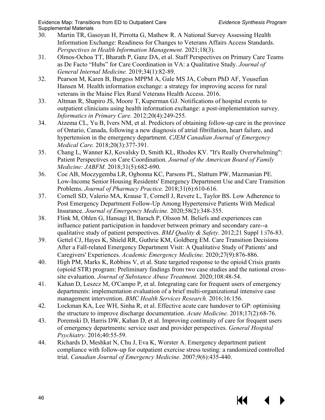KK

- <span id="page-47-14"></span><span id="page-47-9"></span><span id="page-47-2"></span><span id="page-47-1"></span><span id="page-47-0"></span>30. Martin TR, Gasoyan H, Pirrotta G, Mathew R. A National Survey Assessing Health Information Exchange: Readiness for Changes to Veterans Affairs Access Standards. *Perspectives in Health Information Management.* 2021;18(3).
- <span id="page-47-3"></span>31. Olmos-Ochoa TT, Bharath P, Ganz DA, et al. Staff Perspectives on Primary Care Teams as De Facto "Hubs" for Care Coordination in VA: a Qualitative Study. *Journal of General Internal Medicine.* 2019;34(1):82-89.
- <span id="page-47-5"></span>32. Pearson M, Karen B, Burgess MPPM A, Gale MS JA, Coburn PhD AF, Yousefian Hansen M. Health information exchange: a strategy for improving access for rural veterans in the Maine Flex Rural Veterans Health Access. 2016.
- <span id="page-47-10"></span>33. Altman R, Shapiro JS, Moore T, Kuperman GJ. Notifications of hospital events to outpatient clinicians using health information exchange: a post-implementation survey. *Informatics in Primary Care.* 2012;20(4):249-255.
- <span id="page-47-11"></span>34. Atzema CL, Yu B, Ivers NM, et al. Predictors of obtaining follow-up care in the province of Ontario, Canada, following a new diagnosis of atrial fibrillation, heart failure, and hypertension in the emergency department. *CJEM Canadian Journal of Emergency Medical Care.* 2018;20(3):377-391.
- <span id="page-47-6"></span>35. Chang L, Wanner KJ, Kovalsky D, Smith KL, Rhodes KV. "It's Really Overwhelming": Patient Perspectives on Care Coordination. *Journal of the American Board of Family Medicine: JABFM.* 2018;31(5):682-690.
- <span id="page-47-7"></span>36. Coe AB, Moczygemba LR, Ogbonna KC, Parsons PL, Slattum PW, Mazmanian PE. Low-Income Senior Housing Residents' Emergency Department Use and Care Transition Problems. *Journal of Pharmacy Practice.* 2018;31(6):610-616.
- <span id="page-47-4"></span>37. Cornell SD, Valerio MA, Krause T, Cornell J, Revere L, Taylor BS. Low Adherence to Post Emergency Department Follow-Up Among Hypertensive Patients With Medical Insurance. *Journal of Emergency Medicine.* 2020;58(2):348-355.
- <span id="page-47-12"></span><span id="page-47-8"></span>38. Flink M, Ohlen G, Hansagi H, Barach P, Olsson M. Beliefs and experiences can influence patient participation in handover between primary and secondary care--a qualitative study of patient perspectives. *BMJ Quality & Safety.* 2012;21 Suppl 1:i76-83.
- <span id="page-47-13"></span>39. Gettel CJ, Hayes K, Shield RR, Guthrie KM, Goldberg EM. Care Transition Decisions After a Fall-related Emergency Department Visit: A Qualitative Study of Patients' and Caregivers' Experiences. *Academic Emergency Medicine.* 2020;27(9):876-886.
- 40. High PM, Marks K, Robbins V, et al. State targeted response to the opioid Crisis grants (opioid STR) program: Preliminary findings from two case studies and the national crosssite evaluation. *Journal of Substance Abuse Treatment.* 2020;108:48-54.
- 41. Kahan D, Leszcz M, O'Campo P, et al. Integrating care for frequent users of emergency departments: implementation evaluation of a brief multi-organizational intensive case management intervention. *BMC Health Services Research.* 2016;16:156.
- 42. Lockman KA, Lee WH, Sinha R, et al. Effective acute care handover to GP: optimising the structure to improve discharge documentation. *Acute Medicine.* 2018;17(2):68-76.
- 43. Poremski D, Harris DW, Kahan D, et al. Improving continuity of care for frequent users of emergency departments: service user and provider perspectives. *General Hospital Psychiatry.* 2016;40:55-59.
- 44. Richards D, Meshkat N, Chu J, Eva K, Worster A. Emergency department patient compliance with follow-up for outpatient exercise stress testing: a randomized controlled trial. *Canadian Journal of Emergency Medicine.* 2007;9(6):435-440.